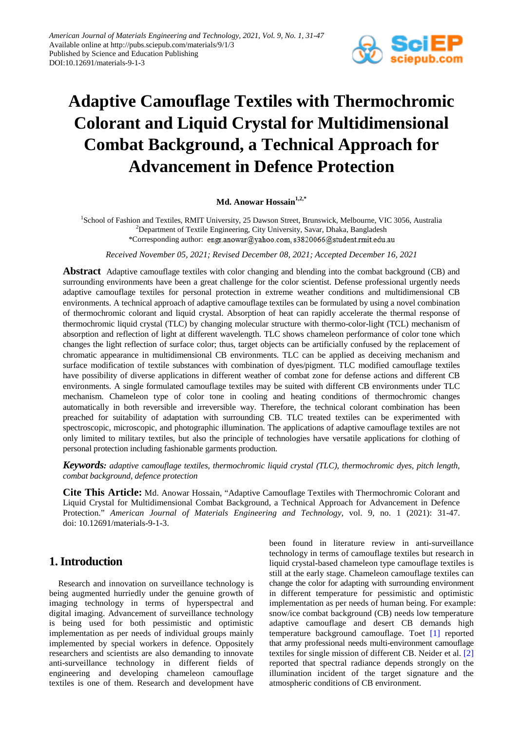

# **Adaptive Camouflage Textiles with Thermochromic Colorant and Liquid Crystal for Multidimensional Combat Background, a Technical Approach for Advancement in Defence Protection**

Md. Anowar Hossain<sup>1,2,\*</sup>

<sup>1</sup>School of Fashion and Textiles, RMIT University, 25 Dawson Street, Brunswick, Melbourne, VIC 3056, Australia <sup>2</sup>Department of Textile Engineering, City University, Savar, Dhaka, Bangladesh \*Corresponding author: engr.anowar@yahoo.com, s3820066@student.rmit.edu.au

*Received November 05, 2021; Revised December 08, 2021; Accepted December 16, 2021*

**Abstract** Adaptive camouflage textiles with color changing and blending into the combat background (CB) and surrounding environments have been a great challenge for the color scientist. Defense professional urgently needs adaptive camouflage textiles for personal protection in extreme weather conditions and multidimensional CB environments. A technical approach of adaptive camouflage textiles can be formulated by using a novel combination of thermochromic colorant and liquid crystal. Absorption of heat can rapidly accelerate the thermal response of thermochromic liquid crystal (TLC) by changing molecular structure with thermo-color-light (TCL) mechanism of absorption and reflection of light at different wavelength. TLC shows chameleon performance of color tone which changes the light reflection of surface color; thus, target objects can be artificially confused by the replacement of chromatic appearance in multidimensional CB environments. TLC can be applied as deceiving mechanism and surface modification of textile substances with combination of dyes/pigment. TLC modified camouflage textiles have possibility of diverse applications in different weather of combat zone for defense actions and different CB environments. A single formulated camouflage textiles may be suited with different CB environments under TLC mechanism. Chameleon type of color tone in cooling and heating conditions of thermochromic changes automatically in both reversible and irreversible way. Therefore, the technical colorant combination has been preached for suitability of adaptation with surrounding CB. TLC treated textiles can be experimented with spectroscopic, microscopic, and photographic illumination. The applications of adaptive camouflage textiles are not only limited to military textiles, but also the principle of technologies have versatile applications for clothing of personal protection including fashionable garments production.

*Keywords: adaptive camouflage textiles, thermochromic liquid crystal (TLC), thermochromic dyes, pitch length, combat background, defence protection*

**Cite This Article:** Md. Anowar Hossain, "Adaptive Camouflage Textiles with Thermochromic Colorant and Liquid Crystal for Multidimensional Combat Background, a Technical Approach for Advancement in Defence Protection." *American Journal of Materials Engineering and Technology*, vol. 9, no. 1 (2021): 31-47. doi: 10.12691/materials-9-1-3.

### **1. Introduction**

Research and innovation on surveillance technology is being augmented hurriedly under the genuine growth of imaging technology in terms of hyperspectral and digital imaging. Advancement of surveillance technology is being used for both pessimistic and optimistic implementation as per needs of individual groups mainly implemented by special workers in defence. Oppositely researchers and scientists are also demanding to innovate anti-surveillance technology in different fields of engineering and developing chameleon camouflage textiles is one of them. Research and development have been found in literature review in anti-surveillance technology in terms of camouflage textiles but research in liquid crystal-based chameleon type camouflage textiles is still at the early stage. Chameleon camouflage textiles can change the color for adapting with surrounding environment in different temperature for pessimistic and optimistic implementation as per needs of human being. For example: snow/ice combat background (CB) needs low temperature adaptive camouflage and desert CB demands high temperature background camouflage. Toet [\[1\]](#page-12-0) reported that army professional needs multi-environment camouflage textiles for single mission of different CB. Neider et al. [\[2\]](#page-12-1) reported that spectral radiance depends strongly on the illumination incident of the target signature and the atmospheric conditions of CB environment.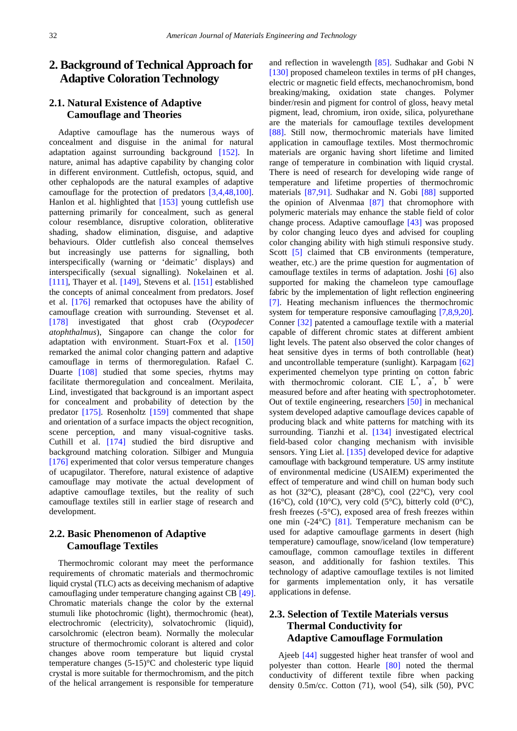### **2. Background of Technical Approach for Adaptive Coloration Technology**

### **2.1. Natural Existence of Adaptive Camouflage and Theories**

Adaptive camouflage has the numerous ways of concealment and disguise in the animal for natural adaptation against surrounding background [\[152\].](#page-15-0) In nature, animal has adaptive capability by changing color in different environment. Cuttlefish, octopus, squid, and other cephalopods are the natural examples of adaptive camouflage for the protection of predators [\[3,4,48,100\].](#page-12-2) Hanlon et al. highlighted that [\[153\]](#page-15-1) young cuttlefish use patterning primarily for concealment, such as general colour resemblance, disruptive coloration, obliterative shading, shadow elimination, disguise, and adaptive behaviours. Older cuttlefish also conceal themselves but increasingly use patterns for signalling, both interspecifically (warning or 'deimatic' displays) and interspecifically (sexual signalling). Nokelainen et al. [\[111\],](#page-15-2) Thayer et al. [\[149\],](#page-15-3) Stevens et al. [\[151\]](#page-15-4) established the concepts of animal concealment from predators. Josef et al. [\[176\]](#page-16-0) remarked that octopuses have the ability of camouflage creation with surrounding. Stevenset et al. [\[178\]](#page-16-1) investigated that ghost crab (*Ocypodecer atophthalmus*), Singapore can change the color for adaptation with environment. Stuart-Fox et al. [\[150\]](#page-15-5) remarked the animal color changing pattern and adaptive camouflage in terms of thermoregulation. Rafael C. Duarte [\[108\]](#page-15-6) studied that some species, rhytms may facilitate thermoregulation and concealment. Merilaita, Lind, investigated that background is an important aspect for concealment and probability of detection by the predator [\[175\].](#page-16-2) Rosenholtz [\[159\]](#page-16-3) commented that shape and orientation of a surface impacts the object recognition, scene perception, and many visual-cognitive tasks. Cuthill et al. [\[174\]](#page-16-4) studied the bird disruptive and background matching coloration. Silbiger and Munguia [\[176\]](#page-16-0) experimented that color versus temperature changes of ucapugilator. Therefore, natural existence of adaptive camouflage may motivate the actual development of adaptive camouflage textiles, but the reality of such camouflage textiles still in earlier stage of research and development.

#### **2.2. Basic Phenomenon of Adaptive Camouflage Textiles**

Thermochromic colorant may meet the performance requirements of chromatic materials and thermochromic liquid crystal (TLC) acts as deceiving mechanism of adaptive camouflaging under temperature changing against CB [\[49\].](#page-13-0) Chromatic materials change the color by the external stumuli like photochromic (light), thermochromic (heat), electrochromic (electricity), solvatochromic (liquid), carsolchromic (electron beam). Normally the molecular structure of thermochromic colorant is altered and color changes above room temperature but liquid crystal temperature changes (5-15)°C and cholesteric type liquid crystal is more suitable for thermochromism, and the pitch of the helical arrangement is responsible for temperature

and reflection in wavelength [\[85\].](#page-14-0) Sudhakar and Gobi N [\[130\]](#page-15-7) proposed chameleon textiles in terms of pH changes, electric or magnetic field effects, mechanochromism, bond breaking/making, oxidation state changes. Polymer binder/resin and pigment for control of gloss, heavy metal pigment, lead, chromium, iron oxide, silica, polyurethane are the materials for camouflage textiles development [\[88\].](#page-14-1) Still now, thermochromic materials have limited application in camouflage textiles. Most thermochromic materials are organic having short lifetime and limited range of temperature in combination with liquid crystal. There is need of research for developing wide range of temperature and lifetime properties of thermochromic materials [\[87,91\].](#page-14-2) Sudhakar and N. Gobi [\[88\]](#page-14-1) supported the opinion of Alvenmaa [\[87\]](#page-14-2) that chromophore with polymeric materials may enhance the stable field of color change process. Adaptive camouflage [\[43\]](#page-13-1) was proposed by color changing leuco dyes and advised for coupling color changing ability with high stimuli responsive study. Scott [\[5\]](#page-12-3) claimed that CB environments (temperature, weather, etc.) are the prime question for augmentation of camouflage textiles in terms of adaptation. Joshi [\[6\]](#page-12-4) also supported for making the chameleon type camouflage fabric by the implementation of light reflection engineering [\[7\].](#page-12-5) Heating mechanism influences the thermochromic system for temperature responsive camouflaging [\[7,8,9,20\].](#page-12-5) Conner [\[32\]](#page-13-2) patented a camouflage textile with a material capable of different chromic states at different ambient light levels. The patent also observed the color changes of heat sensitive dyes in terms of both controllable (heat) and uncontrollable temperature (sunlight). Karpagam [\[62\]](#page-13-3) experimented chemelyon type printing on cotton fabric with thermochromic colorant. CIE  $L^*$ ,  $a^*$ ,  $b^*$  were measured before and after heating with spectrophotometer. Out of textile engineering, researchers [\[50\]](#page-13-4) in mechanical system developed adaptive camouflage devices capable of producing black and white patterns for matching with its surrounding. Tianzhi et al. [\[134\]](#page-15-8) investigated electrical field-based color changing mechanism with invisible sensors. Ying Liet al. [\[135\]](#page-15-9) developed device for adaptive camouflage with background temperature. US army institute of environmental medicine (USAIEM) experimented the effect of temperature and wind chill on human body such as hot  $(32^{\circ}C)$ , pleasant  $(28^{\circ}C)$ , cool  $(22^{\circ}C)$ , very cool (16 $\degree$ C), cold (10 $\degree$ C), very cold (5 $\degree$ C), bitterly cold (0 $\degree$ C), fresh freezes (-5°C), exposed area of fresh freezes within one min (-24°C) [\[81\].](#page-14-3) Temperature mechanism can be used for adaptive camouflage garments in desert (high temperature) camouflage, snow/iceland (low temperature) camouflage, common camouflage textiles in different season, and additionally for fashion textiles. This technology of adaptive camouflage textiles is not limited for garments implementation only, it has versatile applications in defense.

### **2.3. Selection of Textile Materials versus Thermal Conductivity for Adaptive Camouflage Formulation**

Ajeeb [\[44\]](#page-13-5) suggested higher heat transfer of wool and polyester than cotton. Hearle [\[80\]](#page-14-4) noted the thermal conductivity of different textile fibre when packing density 0.5m/cc. Cotton (71), wool (54), silk (50), PVC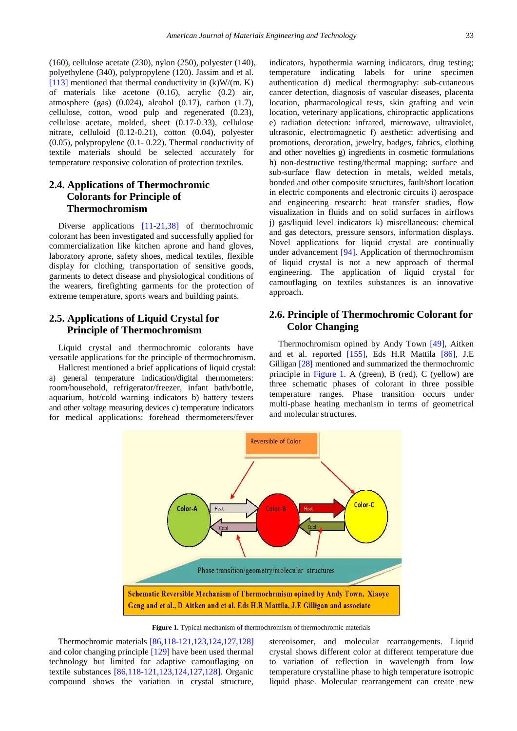(160), cellulose acetate (230), nylon (250), polyester (140), polyethylene (340), polypropylene (120). Jassim and et al. [\[113\]](#page-15-10) mentioned that thermal conductivity in  $(k)W/(m, K)$ of materials like acetone (0.16), acrylic (0.2) air, atmosphere (gas) (0.024), alcohol (0.17), carbon (1.7), cellulose, cotton, wood pulp and regenerated (0.23), cellulose acetate, molded, sheet (0.17-0.33), cellulose nitrate, celluloid (0.12-0.21), cotton (0.04), polyester (0.05), polypropylene (0.1- 0.22). Thermal conductivity of textile materials should be selected accurately for temperature responsive coloration of protection textiles.

### **2.4. Applications of Thermochromic Colorants for Principle of Thermochromism**

Diverse applications [\[11-21,38\]](#page-12-6) of thermochromic colorant has been investigated and successfully applied for commercialization like kitchen aprone and hand gloves, laboratory aprone, safety shoes, medical textiles, flexible display for clothing, transportation of sensitive goods, garments to detect disease and physiological conditions of the wearers, firefighting garments for the protection of extreme temperature, sports wears and building paints.

### **2.5. Applications of Liquid Crystal for Principle of Thermochromism**

Liquid crystal and thermochromic colorants have versatile applications for the principle of thermochromism.

<span id="page-2-0"></span>Hallcrest mentioned a brief applications of liquid crystal: a) general temperature indication/digital thermometers: room/household, refrigerator/freezer, infant bath/bottle, aquarium, hot/cold warning indicators b) battery testers and other voltage measuring devices c) temperature indicators for medical applications: forehead thermometers/fever

indicators, hypothermia warning indicators, drug testing; temperature indicating labels for urine specimen authentication d) medical thermography: sub-cutaneous cancer detection, diagnosis of vascular diseases, placenta location, pharmacological tests, skin grafting and vein location, veterinary applications, chiropractic applications e) radiation detection: infrared, microwave, ultraviolet, ultrasonic, electromagnetic f) aesthetic: advertising and promotions, decoration, jewelry, badges, fabrics, clothing and other novelties g) ingredients in cosmetic formulations h) non-destructive testing/thermal mapping: surface and sub-surface flaw detection in metals, welded metals, bonded and other composite structures, fault/short location in electric components and electronic circuits i) aerospace and engineering research: heat transfer studies, flow visualization in fluids and on solid surfaces in airflows j) gas/liquid level indicators k) miscellaneous: chemical and gas detectors, pressure sensors, information displays. Novel applications for liquid crystal are continually under advancement [\[94\].](#page-14-5) Application of thermochromism of liquid crystal is not a new approach of thermal engineering. The application of liquid crystal for camouflaging on textiles substances is an innovative approach.

#### **2.6. Principle of Thermochromic Colorant for Color Changing**

Thermochromism opined by Andy Town [\[49\],](#page-13-0) Aitken and et al. reported [\[155\],](#page-15-11) Eds H.R Mattila [\[86\],](#page-14-6) J.E Gilligan [\[28\]](#page-13-6) mentioned and summarized the thermochromic principle in [Figure 1.](#page-2-0) A (green), B (red), C (yellow) are three schematic phases of colorant in three possible temperature ranges. Phase transition occurs under multi-phase heating mechanism in terms of geometrical and molecular structures.



**Figure 1.** Typical mechanism of thermochromism of thermochromic materials

Thermochromic materials [\[86,118-121,123,124,127,128\]](#page-14-6) and color changing principle [\[129\]](#page-15-12) have been used thermal technology but limited for adaptive camouflaging on textile substances [\[86,118-121,123,124,127,128\].](#page-14-6) Organic compound shows the variation in crystal structure,

stereoisomer, and molecular rearrangements. Liquid crystal shows different color at different temperature due to variation of reflection in wavelength from low temperature crystalline phase to high temperature isotropic liquid phase. Molecular rearrangement can create new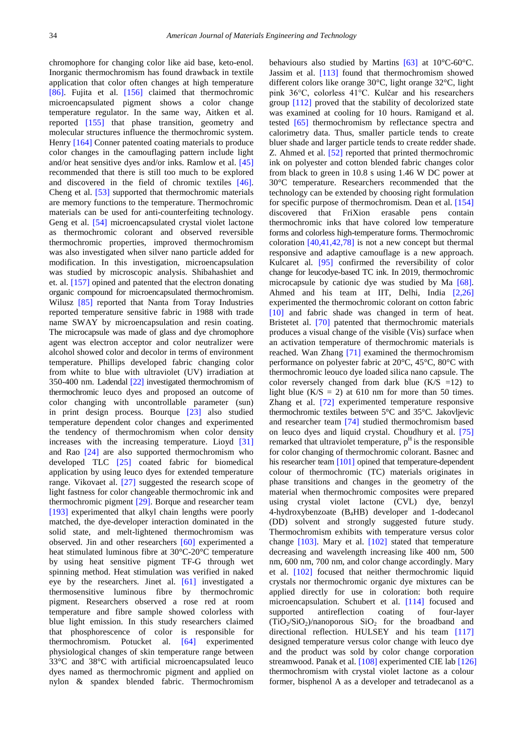chromophore for changing color like aid base, keto-enol. Inorganic thermochromism has found drawback in textile application that color often changes at high temperature [\[86\].](#page-14-6) Fujita et al. [\[156\]](#page-15-13) claimed that thermochromic microencapsulated pigment shows a color change temperature regulator. In the same way, Aitken et al. reported [\[155\]](#page-15-11) that phase transition, geometry and molecular structures influence the thermochromic system. Henry [\[164\]](#page-16-5) Conner patented coating materials to produce color changes in the camouflaging pattern include light and/or heat sensitive dyes and/or inks. Ramlow et al. [\[45\]](#page-13-7) recommended that there is still too much to be explored and discovered in the field of chromic textiles [\[46\].](#page-13-8) Cheng et al. [\[53\]](#page-13-9) supported that thermochromic materials are memory functions to the temperature. Thermochromic materials can be used for anti-counterfeiting technology. Geng et al. [\[54\]](#page-13-10) microencapsulated crystal violet lactone as thermochromic colorant and observed reversible thermochromic properties, improved thermochromism was also investigated when silver nano particle added for modification. In this investigation, microencapsulation was studied by microscopic analysis. Shibahashiet and et. al. [\[157\]](#page-15-14) opined and patented that the electron donating organic compound for microencapsulated thermochromism. Wilusz [\[85\]](#page-14-0) reported that Nanta from Toray Industries reported temperature sensitive fabric in 1988 with trade name SWAY by microencapsulation and resin coating. The microcapsule was made of glass and dye chromophore agent was electron acceptor and color neutralizer were alcohol showed color and decolor in terms of environment temperature. Phillips developed fabric changing color from white to blue with ultraviolet (UV) irradiation at 350-400 nm. Ladendal [\[22\]](#page-13-11) investigated thermochromism of thermochromic leuco dyes and proposed an outcome of color changing with uncontrollable parameter (sun) in print design process. Bourque [\[23\]](#page-13-12) also studied temperature dependent color changes and experimented the tendency of thermochromism when color density increases with the increasing temperature. Lioyd [\[31\]](#page-13-13) and Rao [\[24\]](#page-13-14) are also supported thermochromism who developed TLC [\[25\]](#page-13-15) coated fabric for biomedical application by using leuco dyes for extended temperature range. Vikovaet al. [\[27\]](#page-13-16) suggested the research scope of light fastness for color changeable thermochromic ink and thermochromic pigment [\[29\].](#page-13-17) Borque and researcher team [\[193\]](#page-16-6) experimented that alkyl chain lengths were poorly matched, the dye-developer interaction dominated in the solid state, and melt-lightened thermochromism was observed. Jin and other researchers [\[60\]](#page-13-18) experimented a heat stimulated luminous fibre at 30°C-20°C temperature by using heat sensitive pigment TF-G through wet spinning method. Heat stimulation was verified in naked eye by the researchers. Jinet al. [\[61\]](#page-13-19) investigated a thermosensitive luminous fibre by thermochromic pigment. Researchers observed a rose red at room temperature and fibre sample showed colorless with blue light emission. In this study researchers claimed that phosphorescence of color is responsible for thermochromism. Potucket al. [\[64\]](#page-13-20) experimented physiological changes of skin temperature range between 33°C and 38°C with artificial microencapsulated leuco dyes named as thermochromic pigment and applied on nylon & spandex blended fabric. Thermochromism

behaviours also studied by Martins [\[63\]](#page-13-21) at 10°C-60°C. Jassim et al. [\[113\]](#page-15-10) found that thermochromism showed different colors like orange 30°C, light orange 32°C, light pink 36°C, colorless 41°C. Kulčar and his researchers group [\[112\]](#page-15-15) proved that the stability of decolorized state was examined at cooling for 10 hours. Ramigand et al. tested [\[65\]](#page-14-7) thermochromism by reflectance spectra and calorimetry data. Thus, smaller particle tends to create bluer shade and larger particle tends to create redder shade. Z. Ahmed et al. [\[52\]](#page-13-22) reported that printed thermochromic ink on polyester and cotton blended fabric changes color from black to green in 10.8 s using 1.46 W DC power at 30°C temperature. Researchers recommended that the technology can be extended by choosing right formulation for specific purpose of thermochromism. Dean et al. [\[154\]](#page-15-16) discovered that FriXion erasable pens contain thermochromic inks that have colored low temperature forms and colorless high-temperature forms. Thermochromic coloration  $[40,41,42,78]$  is not a new concept but thermal responsive and adaptive camouflage is a new approach. Kulcaret al. [\[95\]](#page-14-8) confirmed the reversibility of color change for leucodye-based TC ink. In 2019, thermochromic microcapsule by cationic dye was studied by Ma [\[68\].](#page-14-9) Ahmed and his team at IIT, Delhi, India [\[2,26\]](#page-12-1) experimented the thermochromic colorant on cotton fabric [\[10\]](#page-12-7) and fabric shade was changed in term of heat. Bristetet al. [\[70\]](#page-14-10) patented that thermochromic materials produces a visual change of the visible (Vis) surface when an activation temperature of thermochromic materials is reached. Wan Zhang [\[71\]](#page-14-11) examined the thermochromism performance on polyester fabric at 20°C, 45°C, 80°C with thermochromic leouco dye loaded silica nano capsule. The color reversely changed from dark blue  $(K/S = 12)$  to light blue  $(K/S = 2)$  at 610 nm for more than 50 times. Zhang et al. [\[72\]](#page-14-12) experimented temperature responsive thermochromic textiles between 5°C and 35°C. Jakovljevic and researcher team [\[74\]](#page-14-13) studied thermochromism based on leuco dyes and liquid crystal. Choudhury et al. [\[75\]](#page-14-14) remarked that ultraviolet temperature,  $p<sup>H</sup>$  is the responsible for color changing of thermochromic colorant. Basnec and his researcher team [\[101\]](#page-14-15) opined that temperature-dependent colour of thermochromic (TC) materials originates in phase transitions and changes in the geometry of the material when thermochromic composites were prepared using crystal violet lactone (CVL) dye, benzyl 4-hydroxybenzoate  $(B_4HB)$  developer and 1-dodecanol (DD) solvent and strongly suggested future study. Thermochromism exhibits with temperature versus color change [\[103\].](#page-14-16) Mary et al. [\[102\]](#page-14-17) stated that temperature decreasing and wavelength increasing like 400 nm, 500 nm, 600 nm, 700 nm, and color change accordingly. Mary et al. [\[102\]](#page-14-17) focused that neither thermochromic liquid crystals nor thermochromic organic dye mixtures can be applied directly for use in coloration: both require microencapsulation. Schubert et al. [\[114\]](#page-15-17) focused and supported antireflection coating of four-layer  $(TiO<sub>2</sub>/SiO<sub>2</sub>)/nanoporous SiO<sub>2</sub> for the broadband and$ directional reflection. HULSEY and his team [\[117\]](#page-15-18) designed temperature versus color change with leuco dye and the product was sold by color change corporation streamwood. Panak et al. [\[108\]](#page-15-6) experimented CIE lab [\[126\]](#page-15-19) thermochromism with crystal violet lactone as a colour former, bisphenol A as a developer and tetradecanol as a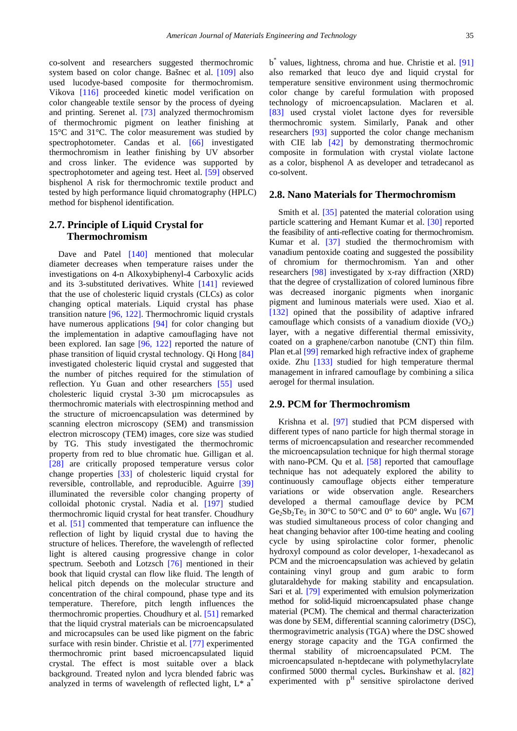co-solvent and researchers suggested thermochromic system based on color change. Bašnec et al. [\[109\]](#page-15-20) also used lucodye-based composite for thermochromism. Vikova [\[116\]](#page-15-21) proceeded kinetic model verification on color changeable textile sensor by the process of dyeing and printing. Serenet al. [\[73\]](#page-14-18) analyzed thermochromism of thermochromic pigment on leather finishing at 15°C and 31°C. The color measurement was studied by spectrophotometer. Candas et al. [\[66\]](#page-14-19) investigated thermochromism in leather finishing by UV absorber and cross linker. The evidence was supported by spectrophotometer and ageing test. Heet al. [\[59\]](#page-13-24) observed bisphenol A risk for thermochromic textile product and tested by high performance liquid chromatography (HPLC) method for bisphenol identification.

### **2.7. Principle of Liquid Crystal for Thermochromism**

Dave and Patel [\[140\]](#page-15-22) mentioned that molecular diameter decreases when temperature raises under the investigations on 4-n Alkoxybiphenyl-4 Carboxylic acids and its 3-substituted derivatives. White [\[141\]](#page-15-23) reviewed that the use of cholesteric liquid crystals (CLCs) as color changing optical materials. Liquid crystal has phase transition nature [\[96, 122\].](#page-14-20) Thermochromic liquid crystals have numerous applications [\[94\]](#page-14-5) for color changing but the implementation in adaptive camouflaging have not been explored. Ian sage [\[96, 122\]](#page-14-20) reported the nature of phase transition of liquid crystal technology. Qi Hong [\[84\]](#page-14-21) investigated cholesteric liquid crystal and suggested that the number of pitches required for the stimulation of reflection. Yu Guan and other researchers [\[55\]](#page-13-25) used cholesteric liquid crystal 3-30 µm microcapsules as thermochromic materials with electrospinning method and the structure of microencapsulation was determined by scanning electron microscopy (SEM) and transmission electron microscopy (TEM) images, core size was studied by TG. This study investigated the thermochromic property from red to blue chromatic hue. Gilligan et al. [\[28\]](#page-13-6) are critically proposed temperature versus color change properties [\[33\]](#page-13-26) of cholesteric liquid crystal for reversible, controllable, and reproducible. Aguirre [\[39\]](#page-13-27) illuminated the reversible color changing property of colloidal photonic crystal. Nadia et al. [\[197\]](#page-16-7) studied thermochromic liquid crystal for heat transfer. Choudhury et al. [\[51\]](#page-13-28) commented that temperature can influence the reflection of light by liquid crystal due to having the structure of helices. Therefore, the wavelength of reflected light is altered causing progressive change in color spectrum. Seeboth and Lotzsch [\[76\]](#page-14-22) mentioned in their book that liquid crystal can flow like fluid. The length of helical pitch depends on the molecular structure and concentration of the chiral compound, phase type and its temperature. Therefore, pitch length influences the thermochromic properties. Choudhury et al. [\[51\]](#page-13-28) remarked that the liquid crystral materials can be microencapsulated and microcapsules can be used like pigment on the fabric surface with resin binder. Christie et al. [\[77\]](#page-14-23) experimented thermochromic print based microencapsulated liquid crystal. The effect is most suitable over a black background. Treated nylon and lycra blended fabric was analyzed in terms of wavelength of reflected light,  $L^*$  a<sup>\*</sup>

b\* values, lightness, chroma and hue. Christie et al. [\[91\]](#page-14-24) also remarked that leuco dye and liquid crystal for temperature sensitive environment using thermochromic color change by careful formulation with proposed technology of microencapsulation. Maclaren et al. [\[83\]](#page-14-25) used crystal violet lactone dyes for reversible thermochromic system. Similarly, Panak and other researchers [\[93\]](#page-14-26) supported the color change mechanism with CIE lab [\[42\]](#page-13-29) by demonstrating thermochromic composite in formulation with crystal violate lactone as a color, bisphenol A as developer and tetradecanol as co-solvent.

#### **2.8. Nano Materials for Thermochromism**

Smith et al. [\[35\]](#page-13-30) patented the material coloration using particle scattering and Hemant Kumar et al. [\[30\]](#page-13-31) reported the feasibility of anti-reflective coating for thermochromism. Kumar et al. [\[37\]](#page-13-32) studied the thermochromism with vanadium pentoxide coating and suggested the possibility of chromium for thermochromism. Yan and other researchers [\[98\]](#page-14-27) investigated by x-ray diffraction (XRD) that the degree of crystallization of colored luminous fibre was decreased inorganic pigments when inorganic pigment and luminous materials were used. Xiao et al. [\[132\]](#page-15-24) opined that the possibility of adaptive infrared camouflage which consists of a vanadium dioxide  $(VO<sub>2</sub>)$ layer, with a negative differential thermal emissivity, coated on a graphene/carbon nanotube (CNT) thin film. Plan et.al [\[99\]](#page-14-28) remarked high refractive index of grapheme oxide. Zhu [\[133\]](#page-15-25) studied for high temperature thermal management in infrared camouflage by combining a silica aerogel for thermal insulation.

#### **2.9. PCM for Thermochromism**

Krishna et al. [\[97\]](#page-14-29) studied that PCM dispersed with different types of nano particle for high thermal storage in terms of microencapsulation and researcher recommended the microencapsulation technique for high thermal storage with nano-PCM. Qu et al. [\[58\]](#page-13-33) reported that camouflage technique has not adequately explored the ability to continuously camouflage objects either temperature variations or wide observation angle. Researchers developed a thermal camouflage device by PCM Ge<sub>2</sub>Sb<sub>2</sub>Te<sub>5</sub> in 30<sup>o</sup>C to 50<sup>o</sup>C and 0<sup>o</sup> to 60<sup>o</sup> angle. Wu [\[67\]](#page-14-30) was studied simultaneous process of color changing and heat changing behavior after 100-time heating and cooling cycle by using spirolactine color former, phenolic hydroxyl compound as color developer, 1-hexadecanol as PCM and the microencapsulation was achieved by gelatin containing vinyl group and gum arabic to form glutaraldehyde for making stability and encapsulation. Sari et al. [\[79\]](#page-14-31) experimented with emulsion polymerization method for solid-liquid microencapsulated phase change material (PCM). The chemical and thermal characterization was done by SEM, differential scanning calorimetry (DSC), thermogravimetric analysis (TGA) where the DSC showed energy storage capacity and the TGA confirmed the thermal stability of microencapsulated PCM. The microencapsulated n-heptdecane with polymethylacrylate confirmed 5000 thermal cycles**.** Burkinshaw et al. [\[82\]](#page-14-32) experimented with  $p<sup>H</sup>$  sensitive spirolactone derived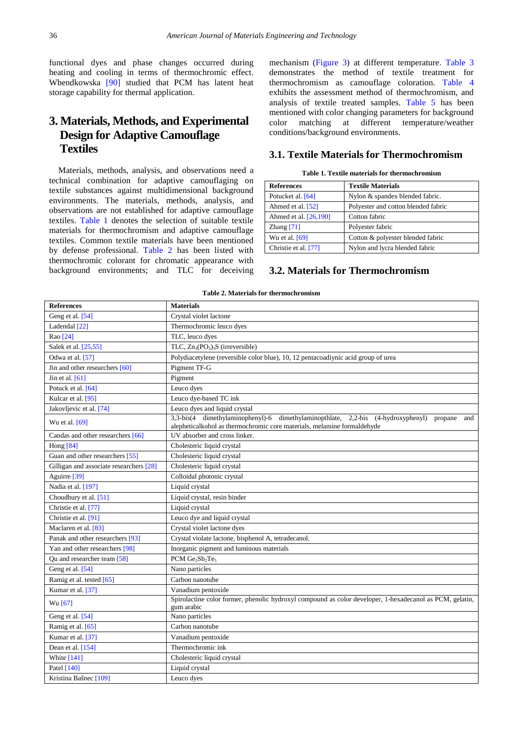functional dyes and phase changes occurred during heating and cooling in terms of thermochromic effect. Wbendkowska [\[90\]](#page-14-33) studied that PCM has latent heat storage capability for thermal application.

## **3. Materials, Methods, and Experimental Design for Adaptive Camouflage Textiles**

Materials, methods, analysis, and observations need a technical combination for adaptive camouflaging on textile substances against multidimensional background environments. The materials, methods, analysis, and observations are not established for adaptive camouflage textiles. [Table 1](#page-5-0) denotes the selection of suitable textile materials for thermochromism and adaptive camouflage textiles. Common textile materials have been mentioned by defense professional. [Table 2](#page-5-1) has been listed with thermochromic colorant for chromatic appearance with background environments; and TLC for deceiving mechanism [\(Figure 3\)](#page-9-0) at different temperature. [Table 3](#page-6-0) demonstrates the method of textile treatment for thermochromism as camouflage coloration. [Table 4](#page-6-1) exhibits the assessment method of thermochromism, and analysis of textile treated samples. [Table 5](#page-7-0) has been mentioned with color changing parameters for background color matching at different temperature/weather conditions/background environments.

#### **3.1. Textile Materials for Thermochromism**

|  |  |  | Table 1. Textile materials for thermochromism |
|--|--|--|-----------------------------------------------|
|--|--|--|-----------------------------------------------|

<span id="page-5-0"></span>

| <b>References</b>     | <b>Textile Materials</b>            |
|-----------------------|-------------------------------------|
| Potucket al. [64]     | Nylon & spandex blended fabric.     |
| Ahmed et al. $[52]$   | Polyester and cotton blended fabric |
| Ahmed et al. [26,190] | Cotton fabric                       |
| Zhang $[71]$          | Polyester fabric                    |
| Wu et al. [69]        | Cotton & polyester blended fabric   |
| Christie et al. [77]  | Nylon and lycra blended fabric      |

#### **3.2. Materials for Thermochromism**

<span id="page-5-1"></span>

| <b>References</b>                       | <b>Materials</b>                                                                                                                                                                   |
|-----------------------------------------|------------------------------------------------------------------------------------------------------------------------------------------------------------------------------------|
| Geng et al. [54]                        | Crystal violet lactone                                                                                                                                                             |
| Ladendal [22]                           | Thermochromic leuco dyes                                                                                                                                                           |
| Rao [24]                                | TLC, leuco dyes                                                                                                                                                                    |
| Salek et al. [25,55]                    | TLC, $Zn_3(PO_3)_3S$ (irreversible)                                                                                                                                                |
| Odwa et al. [57]                        | Polydiacetylene (reversible color blue), 10, 12 pentacoadiynic acid group of urea                                                                                                  |
| Jin and other researchers [60]          | Pigment TF-G                                                                                                                                                                       |
| Jin et al. $[61]$                       | Pigment                                                                                                                                                                            |
| Potuck et al. [64]                      | Leuco dyes                                                                                                                                                                         |
| Kulcar et al. [95]                      | Leuco dye-based TC ink                                                                                                                                                             |
| Jakovljevic et al. [74]                 | Leuco dyes and liquid crystal                                                                                                                                                      |
| Wu et al. [69]                          | 3,3-bis(4 dimethylaminophenyl)-6 dimethylaminopthlate,<br>$2,2-bis$<br>(4-hydroxyphenyl) propane<br>and<br>alepheticalkohol as thermochromic core materials, melamine formaldehyde |
| Candas and other researchers [66]       | UV absorber and cross linker.                                                                                                                                                      |
| Hong [84]                               | Cholesteric liquid crystal                                                                                                                                                         |
| Guan and other researchers [55]         | Cholesteric liquid crystal                                                                                                                                                         |
| Gilligan and associate researchers [28] | Cholesteric liquid crystal                                                                                                                                                         |
| Aguirre [39]                            | Colloidal photonic crystal                                                                                                                                                         |
| Nadia et al. [197]                      | Liquid crystal                                                                                                                                                                     |
| Choudhury et al. [51]                   | Liquid crystal, resin binder                                                                                                                                                       |
| Christie et al. [77]                    | Liquid crystal                                                                                                                                                                     |
| Christie et al. [91]                    | Leuco dye and liquid crystal                                                                                                                                                       |
| Maclaren et al. [83]                    | Crystal violet lactone dyes                                                                                                                                                        |
| Panak and other researchers [93]        | Crystal violate lactone, bisphenol A, tetradecanol.                                                                                                                                |
| Yan and other researchers [98]          | Inorganic pigment and luminous materials                                                                                                                                           |
| Qu and researcher team [58]             | PCM Ge <sub>2</sub> Sb <sub>2</sub> Te <sub>5</sub>                                                                                                                                |
| Geng et al. [54]                        | Nano particles                                                                                                                                                                     |
| Ramig et al. tested [65]                | Carbon nanotube                                                                                                                                                                    |
| Kumar et al. [37]                       | Vanadium pentoxide                                                                                                                                                                 |
| Wu [67]                                 | Spirolactine color former, phenolic hydroxyl compound as color developer, 1-hexadecanol as PCM, gelatin,<br>gum arabic                                                             |
| Geng et al. [54]                        | Nano particles                                                                                                                                                                     |
| Ramig et al. [65]                       | Carbon nanotube                                                                                                                                                                    |
| Kumar et al. [37]                       | Vanadium pentoxide                                                                                                                                                                 |
| Dean et al. [154]                       | Thermochromic ink                                                                                                                                                                  |
| <b>White</b> [141]                      | Cholesteric liquid crystal                                                                                                                                                         |
| Patel [140]                             | Liquid crystal                                                                                                                                                                     |
| Kristina Bašnec [109]                   | Leuco dyes                                                                                                                                                                         |

**Table 2. Materials for thermochromism**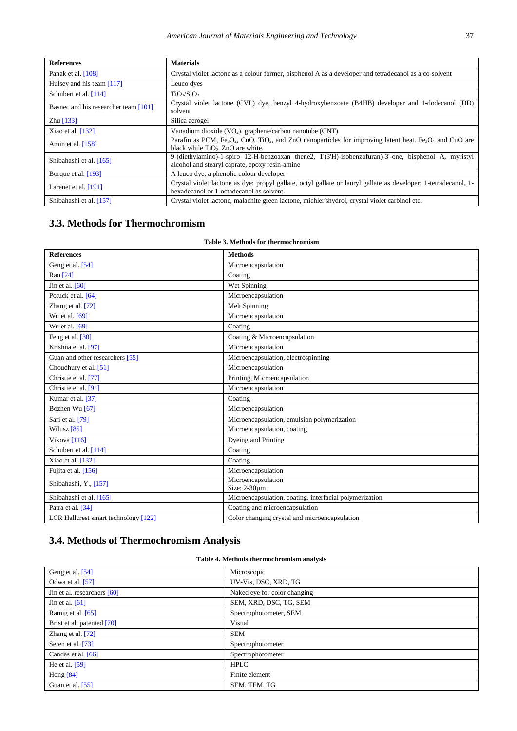| <b>References</b>                    | <b>Materials</b>                                                                                                                                                                                                      |
|--------------------------------------|-----------------------------------------------------------------------------------------------------------------------------------------------------------------------------------------------------------------------|
| Panak et al. $[108]$                 | Crystal violet lactone as a colour former, bisphenol A as a developer and tetradecanol as a co-solvent                                                                                                                |
| Hulsey and his team $[117]$          | Leuco dyes                                                                                                                                                                                                            |
| Schubert et al. $[114]$              | TiO <sub>2</sub> /SiO <sub>2</sub>                                                                                                                                                                                    |
| Basnec and his researcher team [101] | Crystal violet lactone (CVL) dye, benzyl 4-hydroxybenzoate (B4HB) developer and 1-dodecanol (DD)<br>solvent                                                                                                           |
| Zhu $[133]$                          | Silica aerogel                                                                                                                                                                                                        |
| Xiao et al. $[132]$                  | Vanadium dioxide $(VO_2)$ , graphene/carbon nanotube $(CNT)$                                                                                                                                                          |
| Amin et al. $[158]$                  | Parafin as PCM, Fe <sub>3</sub> O <sub>2</sub> , CuO, TiO <sub>2</sub> , and ZnO nanoparticles for improving latent heat. Fe <sub>3</sub> O <sub>4</sub> and CuO are<br>black while TiO <sub>2</sub> . ZnO are white. |
| Shibahashi et al. [165]              | 9-(diethylamino)-1-spiro 12-H-benzoaxan thene2, 1'(3'H)-isobenzofuran)-3'-one, bisphenol A, myristyl<br>alcohol and stearyl caprate, epoxy resin-amine                                                                |
| Borque et al. [193]                  | A leuco dye, a phenolic colour developer                                                                                                                                                                              |
| Larenet et al. $[191]$               | Crystal violet lactone as dye; propyl gallate, octyl gallate or lauryl gallate as developer; 1-tetradecanol, 1-<br>hexadecanol or 1-octadecanol as solvent.                                                           |
| Shibahashi et al. [157]              | Crystal violet lactone, malachite green lactone, michler'shydrol, crystal violet carbinol etc.                                                                                                                        |

### **3.3. Methods for Thermochromism**

#### **Table 3. Methods for thermochromism**

<span id="page-6-0"></span>

| <b>References</b>                    | <b>Methods</b>                                          |
|--------------------------------------|---------------------------------------------------------|
| Geng et al. [54]                     | Microencapsulation                                      |
| Rao [24]                             | Coating                                                 |
| Jin et al. $[60]$                    | Wet Spinning                                            |
| Potuck et al. [64]                   | Microencapsulation                                      |
| Zhang et al. [72]                    | Melt Spinning                                           |
| Wu et al. [69]                       | Microencapsulation                                      |
| Wu et al. [69]                       | Coating                                                 |
| Feng et al. [30]                     | Coating & Microencapsulation                            |
| Krishna et al. [97]                  | Microencapsulation                                      |
| Guan and other researchers [55]      | Microencapsulation, electrospinning                     |
| Choudhury et al. [51]                | Microencapsulation                                      |
| Christie et al. [77]                 | Printing, Microencapsulation                            |
| Christie et al. [91]                 | Microencapsulation                                      |
| Kumar et al. [37]                    | Coating                                                 |
| Bozhen Wu [67]                       | Microencapsulation                                      |
| Sari et al. [79]                     | Microencapsulation, emulsion polymerization             |
| Wilusz [85]                          | Microencapsulation, coating                             |
| Vikova [116]                         | Dyeing and Printing                                     |
| Schubert et al. $[114]$              | Coating                                                 |
| Xiao et al. [132]                    | Coating                                                 |
| Fujita et al. [156]                  | Microencapsulation                                      |
| Shibahashi, Y., [157]                | Microencapsulation<br>Size: $2-30\mu m$                 |
| Shibahashi et al. [165]              | Microencapsulation, coating, interfacial polymerization |
| Patra et al. [34]                    | Coating and microencapsulation                          |
|                                      |                                                         |
| LCR Hallcrest smart technology [122] | Color changing crystal and microencapsulation           |

# **3.4. Methods of Thermochromism Analysis**

### **Table 4. Methods thermochromism analysis**

<span id="page-6-1"></span>

| Geng et al. [54]              | Microscopic                  |
|-------------------------------|------------------------------|
| Odwa et al. $[57]$            | UV-Vis, DSC, XRD, TG         |
| Jin et al. researchers $[60]$ | Naked eye for color changing |
| Jin et al. $[61]$             | SEM, XRD, DSC, TG, SEM       |
| Ramig et al. $[65]$           | Spectrophotometer, SEM       |
| Brist et al. patented [70]    | Visual                       |
| Zhang et al. $[72]$           | <b>SEM</b>                   |
| Seren et al. [73]             | Spectrophotometer            |
| Candas et al. [66]            | Spectrophotometer            |
| He et al. $[59]$              | <b>HPLC</b>                  |
| Hong [84]                     | Finite element               |
| Guan et al. [55]              | SEM, TEM, TG                 |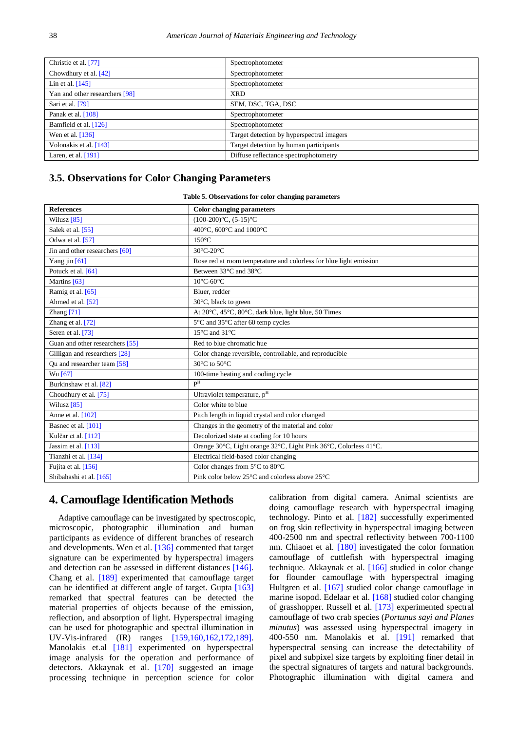| Christie et al. [77]           | Spectrophotometer                         |
|--------------------------------|-------------------------------------------|
| Chowdhury et al. [42]          | Spectrophotometer                         |
| Lin et al. $[145]$             | Spectrophotometer                         |
| Yan and other researchers [98] | <b>XRD</b>                                |
| Sari et al. [79]               | SEM, DSC, TGA, DSC                        |
| Panak et al. [108]             | Spectrophotometer                         |
| Bamfield et al. [126]          | Spectrophotometer                         |
| Wen et al. $[136]$             | Target detection by hyperspectral imagers |
| Volonakis et al. [143]         | Target detection by human participants    |
| Laren, et al. $[191]$          | Diffuse reflectance spectrophotometry     |
|                                |                                           |

#### **3.5. Observations for Color Changing Parameters**

|  | Table 5. Observations for color changing parameters |  |  |  |
|--|-----------------------------------------------------|--|--|--|
|--|-----------------------------------------------------|--|--|--|

<span id="page-7-0"></span>

| <b>References</b>                | <b>Color changing parameters</b>                                   |
|----------------------------------|--------------------------------------------------------------------|
| Wilusz [85]                      | $(100-200)$ °C, $(5-15)$ °C                                        |
| Salek et al. [55]                | 400°C, 600°C and 1000°C                                            |
| Odwa et al. [57]                 | $150^{\circ}$ C                                                    |
| Jin and other researchers $[60]$ | 30°C-20°C                                                          |
| Yang jin $[61]$                  | Rose red at room temperature and colorless for blue light emission |
| Potuck et al. [64]               | Between 33°C and 38°C                                              |
| Martins [63]                     | $10^{\circ}$ C-60 $^{\circ}$ C                                     |
| Ramig et al. [65]                | Bluer, redder                                                      |
| Ahmed et al. [52]                | $30^{\circ}$ C, black to green                                     |
| Zhang <sup>[71]</sup>            | At 20°C, 45°C, 80°C, dark blue, light blue, 50 Times               |
| Zhang et al. [72]                | 5°C and 35°C after 60 temp cycles                                  |
| Seren et al. [73]                | $15^{\circ}$ C and $31^{\circ}$ C                                  |
| Guan and other researchers [55]  | Red to blue chromatic hue                                          |
| Gilligan and researchers [28]    | Color change reversible, controllable, and reproducible            |
| Ou and researcher team [58]      | 30°C to 50°C                                                       |
| Wu [67]                          | 100-time heating and cooling cycle                                 |
| Burkinshaw et al. [82]           | P <sub>H</sub>                                                     |
| Choudhury et al. [75]            | Ultraviolet temperature, pH                                        |
| Wilusz $[85]$                    | Color white to blue                                                |
| Anne et al. [102]                | Pitch length in liquid crystal and color changed                   |
| Basnec et al. [101]              | Changes in the geometry of the material and color                  |
| Kulčar et al. [112]              | Decolorized state at cooling for 10 hours                          |
| Jassim et al. [113]              | Orange 30°C, Light orange 32°C, Light Pink 36°C, Colorless 41°C.   |
| Tianzhi et al. [134]             | Electrical field-based color changing                              |
| Fujita et al. [156]              | Color changes from 5°C to 80°C                                     |
| Shibahashi et al. [165]          | Pink color below $25^{\circ}$ C and colorless above $25^{\circ}$ C |

### **4. Camouflage Identification Methods**

Adaptive camouflage can be investigated by spectroscopic, microscopic, photographic illumination and human participants as evidence of different branches of research and developments. Wen et al. [\[136\]](#page-15-29) commented that target signature can be experimented by hyperspectral imagers and detection can be assessed in different distances [\[146\].](#page-15-31) Chang et al. [\[189\]](#page-16-10) experimented that camouflage target can be identified at different angle of target. Gupta [\[163\]](#page-16-11) remarked that spectral features can be detected the material properties of objects because of the emission, reflection, and absorption of light. Hyperspectral imaging can be used for photographic and spectral illumination in UV-Vis-infrared (IR) ranges [\[159,160,162,172,189\].](#page-16-3) Manolakis et.al [\[181\]](#page-16-12) experimented on hyperspectral image analysis for the operation and performance of detectors. Akkaynak et al. [\[170\]](#page-16-13) suggested an image processing technique in perception science for color

calibration from digital camera. Animal scientists are doing camouflage research with hyperspectral imaging technology. Pinto et al. [\[182\]](#page-16-14) successfully experimented on frog skin reflectivity in hyperspectral imaging between 400-2500 nm and spectral reflectivity between 700-1100 nm. Chiaoet et al. [\[180\]](#page-16-15) investigated the color formation camouflage of cuttlefish with hyperspectral imaging technique. Akkaynak et al. [\[166\]](#page-16-16) studied in color change for flounder camouflage with hyperspectral imaging Hultgren et al. [\[167\]](#page-16-17) studied color change camouflage in marine isopod. Edelaar et al. [\[168\]](#page-16-18) studied color changing of grasshopper. Russell et al. [\[173\]](#page-16-19) experimented spectral camouflage of two crab species (*Portunus sayi and Planes minutus*) was assessed using hyperspectral imagery in 400-550 nm. Manolakis et al. [\[191\]](#page-16-9) remarked that hyperspectral sensing can increase the detectability of pixel and subpixel size targets by exploiting finer detail in the spectral signatures of targets and natural backgrounds. Photographic illumination with digital camera and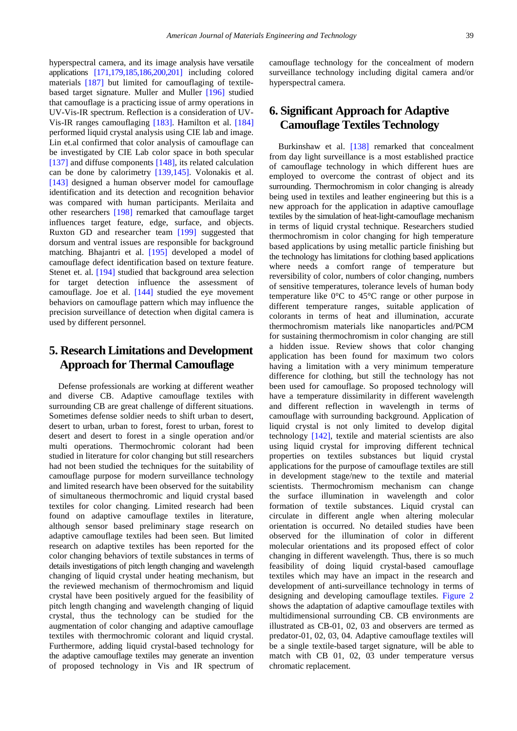hyperspectral camera, and its image analysis have versatile applications [\[171,179,185,186,200,201\]](#page-16-20) including colored materials [\[187\]](#page-16-21) but limited for camouflaging of textilebased target signature. Muller and Muller [\[196\]](#page-16-22) studied that camouflage is a practicing issue of army operations in UV-Vis-IR spectrum. Reflection is a consideration of UV-Vis-IR ranges camouflaging [\[183\].](#page-16-23) Hamilton et al. [\[184\]](#page-16-24) performed liquid crystal analysis using CIE lab and image. Lin et.al confirmed that color analysis of camouflage can be investigated by CIE Lab color space in both specular [\[137\]](#page-15-32) and diffuse components [\[148\],](#page-15-33) its related calculation can be done by calorimetry [\[139,145\].](#page-15-34) Volonakis et al. [\[143\]](#page-15-30) designed a human observer model for camouflage identification and its detection and recognition behavior was compared with human participants. Merilaita and other researchers [\[198\]](#page-16-25) remarked that camouflage target influences target feature, edge, surface, and objects. Ruxton GD and researcher team [\[199\]](#page-16-26) suggested that dorsum and ventral issues are responsible for background matching. Bhajantri et al. [\[195\]](#page-16-27) developed a model of camouflage defect identification based on texture feature. Stenet et. al. [\[194\]](#page-16-28) studied that background area selection for target detection influence the assessment of camouflage. Joe et al. [\[144\]](#page-15-35) studied the eye movement behaviors on camouflage pattern which may influence the precision surveillance of detection when digital camera is used by different personnel.

### **5. Research Limitations and Development Approach for Thermal Camouflage**

Defense professionals are working at different weather and diverse CB. Adaptive camouflage textiles with surrounding CB are great challenge of different situations. Sometimes defense soldier needs to shift urban to desert, desert to urban, urban to forest, forest to urban, forest to desert and desert to forest in a single operation and/or multi operations. Thermochromic colorant had been studied in literature for color changing but still researchers had not been studied the techniques for the suitability of camouflage purpose for modern surveillance technology and limited research have been observed for the suitability of simultaneous thermochromic and liquid crystal based textiles for color changing. Limited research had been found on adaptive camouflage textiles in literature, although sensor based preliminary stage research on adaptive camouflage textiles had been seen. But limited research on adaptive textiles has been reported for the color changing behaviors of textile substances in terms of details investigations of pitch length changing and wavelength changing of liquid crystal under heating mechanism, but the reviewed mechanism of thermochromism and liquid crystal have been positively argued for the feasibility of pitch length changing and wavelength changing of liquid crystal, thus the technology can be studied for the augmentation of color changing and adaptive camouflage textiles with thermochromic colorant and liquid crystal. Furthermore, adding liquid crystal-based technology for the adaptive camouflage textiles may generate an invention of proposed technology in Vis and IR spectrum of camouflage technology for the concealment of modern surveillance technology including digital camera and/or hyperspectral camera.

### **6. Significant Approach for Adaptive Camouflage Textiles Technology**

Burkinshaw et al. [\[138\]](#page-15-36) remarked that concealment from day light surveillance is a most established practice of camouflage technology in which different hues are employed to overcome the contrast of object and its surrounding. Thermochromism in color changing is already being used in textiles and leather engineering but this is a new approach for the application in adaptive camouflage textiles by the simulation of heat-light-camouflage mechanism in terms of liquid crystal technique. Researchers studied thermochromism in color changing for high temperature based applications by using metallic particle finishing but the technology has limitations for clothing based applications where needs a comfort range of temperature but reversibility of color, numbers of color changing, numbers of sensitive temperatures, tolerance levels of human body temperature like 0°C to 45°C range or other purpose in different temperature ranges, suitable application of colorants in terms of heat and illumination, accurate thermochromism materials like nanoparticles and/PCM for sustaining thermochromism in color changing are still a hidden issue. Review shows that color changing application has been found for maximum two colors having a limitation with a very minimum temperature difference for clothing, but still the technology has not been used for camouflage. So proposed technology will have a temperature dissimilarity in different wavelength and different reflection in wavelength in terms of camouflage with surrounding background. Application of liquid crystal is not only limited to develop digital technology [\[142\],](#page-15-37) textile and material scientists are also using liquid crystal for improving different technical properties on textiles substances but liquid crystal applications for the purpose of camouflage textiles are still in development stage/new to the textile and material scientists. Thermochromism mechanism can change the surface illumination in wavelength and color formation of textile substances. Liquid crystal can circulate in different angle when altering molecular orientation is occurred. No detailed studies have been observed for the illumination of color in different molecular orientations and its proposed effect of color changing in different wavelength. Thus, there is so much feasibility of doing liquid crystal-based camouflage textiles which may have an impact in the research and development of anti-surveillance technology in terms of designing and developing camouflage textiles. [Figure 2](#page-9-1) shows the adaptation of adaptive camouflage textiles with multidimensional surrounding CB. CB environments are illustrated as CB-01, 02, 03 and observers are termed as predator-01, 02, 03, 04. Adaptive camouflage textiles will be a single textile-based target signature, will be able to match with CB 01, 02, 03 under temperature versus chromatic replacement.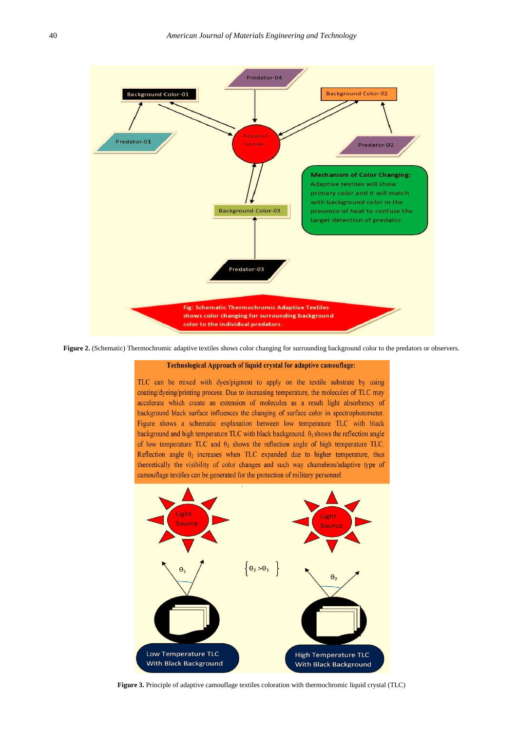<span id="page-9-1"></span>

<span id="page-9-0"></span>**Figure 2.** (Schematic) Thermochromic adaptive textiles shows color changing for surrounding background color to the predators or observers.

#### Technological Approach of liquid crystal for adaptive camouflage:

TLC can be mixed with dyes/pigment to apply on the textile substrate by using coating/dyeing/printing process. Due to increasing temperature, the molecules of TLC may accelerate which create an extension of molecules as a result light absorbency of background black surface influences the changing of surface color in spectrophotometer. Figure shows a schematic explanation between low temperature TLC with black background and high temperature TLC with black background.  $\theta_1$  shows the reflection angle of low temperature TLC and  $\theta_2$  shows the reflection angle of high temperature TLC. Reflection angle  $\theta_2$  increases when TLC expanded due to higher temperature, thus theoretically the visibility of color changes and such way chameleon/adaptive type of camouflage textiles can be generated for the protection of military personnel.



**Figure 3.** Principle of adaptive camouflage textiles coloration with thermochromic liquid crystal (TLC)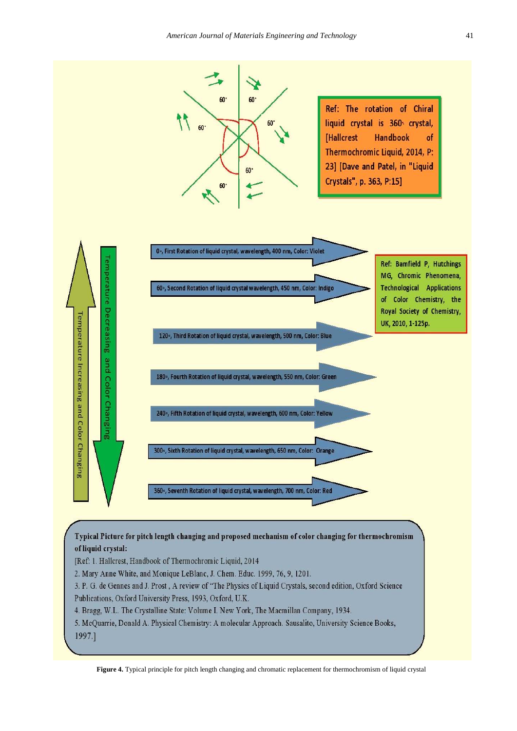<span id="page-10-0"></span>

[Ref: 1. Hallcrest, Handbook of Thermochromic Liquid, 2014

2. Mary Anne White, and Monique LeBlanc, J. Chem. Educ. 1999, 76, 9, 1201.

3. P. G. de Gennes and J. Prost, A review of "The Physics of Liquid Crystals, second edition, Oxford Science Publications, Oxford University Press, 1993, Oxford, U.K.

4. Bragg, W.L. The Crystalline State: Volume I. New York, The Macmillan Company, 1934.

5. McQuarrie, Donald A. Physical Chemistry: A molecular Approach. Sausalito, University Science Books, 1997.1

**Figure 4.** Typical principle for pitch length changing and chromatic replacement for thermochromism of liquid crystal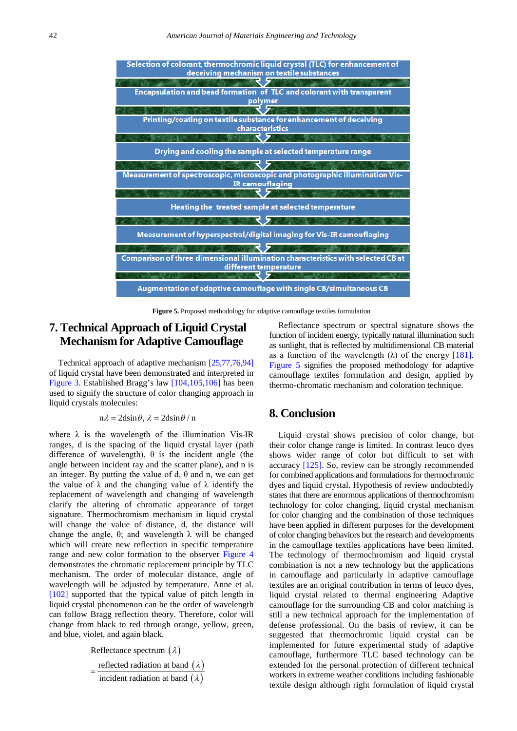<span id="page-11-0"></span>

**Figure 5.** Proposed methodology for adaptive camouflage textiles formulation

### **7. Technical Approach of Liquid Crystal Mechanism for Adaptive Camouflage**

Technical approach of adaptive mechanism [\[25,77,76,94\]](#page-13-15) of liquid crystal have been demonstrated and interpreted in [Figure 3.](#page-9-0) Established Bragg's law [\[104,105,106\]](#page-14-35) has been used to signify the structure of color changing approach in liquid crystals molecules:

#### $n\lambda = 2d\sin\theta$ ,  $\lambda = 2d\sin\theta / n$

where  $\lambda$  is the wavelength of the illumination Vis-IR ranges, d is the spacing of the liquid crystal layer (path difference of wavelength),  $\theta$  is the incident angle (the angle between incident ray and the scatter plane), and n is an integer. By putting the value of d, θ and n, we can get the value of  $\lambda$  and the changing value of  $\lambda$  identify the replacement of wavelength and changing of wavelength clarify the altering of chromatic appearance of target signature. Thermochromism mechanism in liquid crystal will change the value of distance, d, the distance will change the angle, θ; and wavelength  $λ$  will be changed which will create new reflection in specific temperature range and new color formation to the observer [Figure 4](#page-10-0) demonstrates the chromatic replacement principle by TLC mechanism. The order of molecular distance, angle of wavelength will be adjusted by temperature. Anne et al. [\[102\]](#page-14-17) supported that the typical value of pitch length in liquid crystal phenomenon can be the order of wavelength can follow Bragg reflection theory. Therefore, color will change from black to red through orange, yellow, green, and blue, violet, and again black.

> Reflectance spectrum  $(\lambda)$ reflected radiation at band  $(\lambda)$

 $=\frac{\text{reduced radiation at band } (\lambda)}{\text{incident radiation at band } (\lambda)}$ 

Reflectance spectrum or spectral signature shows the function of incident energy, typically natural illumination such as sunlight, that is reflected by multidimensional CB material as a function of the wavelength  $(\lambda)$  of the energy [\[181\].](#page-16-12) [Figure 5](#page-11-0) signifies the proposed methodology for adaptive camouflage textiles formulation and design, applied by thermo-chromatic mechanism and coloration technique.

### **8. Conclusion**

Liquid crystal shows precision of color change, but their color change range is limited. In contrast leuco dyes shows wider range of color but difficult to set with accuracy [\[125\].](#page-15-38) So, review can be strongly recommended for combined applications and formulations for thermochromic dyes and liquid crystal. Hypothesis of review undoubtedly states that there are enormous applications of thermochromism technology for color changing, liquid crystal mechanism for color changing and the combination of those techniques have been applied in different purposes for the development of color changing behaviors but the research and developments in the camouflage textiles applications have been limited. The technology of thermochromism and liquid crystal combination is not a new technology but the applications in camouflage and particularly in adaptive camouflage textiles are an original contribution in terms of leuco dyes, liquid crystal related to thermal engineering Adaptive camouflage for the surrounding CB and color matching is still a new technical approach for the implementation of defense professional. On the basis of review, it can be suggested that thermochromic liquid crystal can be implemented for future experimental study of adaptive camouflage, furthermore TLC based technology can be extended for the personal protection of different technical workers in extreme weather conditions including fashionable textile design although right formulation of liquid crystal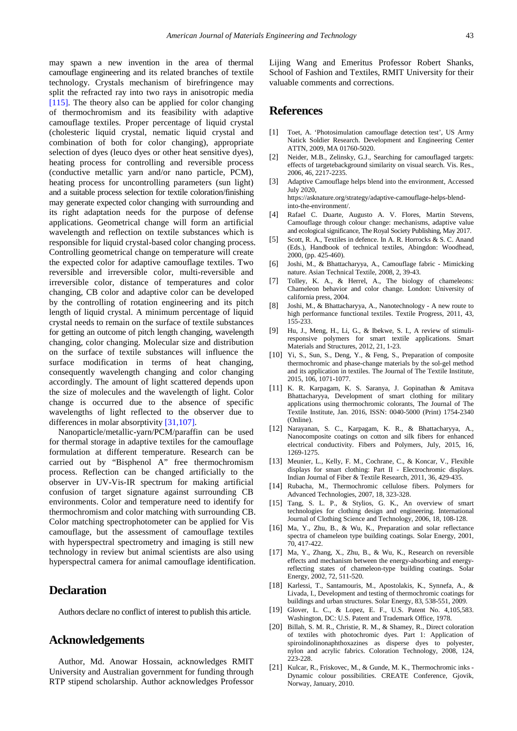may spawn a new invention in the area of thermal camouflage engineering and its related branches of textile technology. Crystals mechanism of birefringence may split the refracted ray into two rays in anisotropic media [\[115\].](#page-15-39) The theory also can be applied for color changing of thermochromism and its feasibility with adaptive camouflage textiles. Proper percentage of liquid crystal (cholesteric liquid crystal, nematic liquid crystal and combination of both for color changing), appropriate selection of dyes (leuco dyes or other heat sensitive dyes), heating process for controlling and reversible process (conductive metallic yarn and/or nano particle, PCM), heating process for uncontrolling parameters (sun light) and a suitable process selection for textile coloration/finishing may generate expected color changing with surrounding and its right adaptation needs for the purpose of defense applications. Geometrical change will form an artificial wavelength and reflection on textile substances which is responsible for liquid crystal-based color changing process. Controlling geometrical change on temperature will create the expected color for adaptive camouflage textiles. Two reversible and irreversible color, multi-reversible and irreversible color, distance of temperatures and color changing, CB color and adaptive color can be developed by the controlling of rotation engineering and its pitch length of liquid crystal. A minimum percentage of liquid crystal needs to remain on the surface of textile substances for getting an outcome of pitch length changing, wavelength changing, color changing. Molecular size and distribution on the surface of textile substances will influence the surface modification in terms of heat changing, consequently wavelength changing and color changing accordingly. The amount of light scattered depends upon the size of molecules and the wavelength of light. Color change is occurred due to the absence of specific wavelengths of light reflected to the observer due to differences in molar absorptivity [\[31,107\].](#page-13-13)

Nanoparticle/metallic-yarn/PCM/paraffin can be used for thermal storage in adaptive textiles for the camouflage formulation at different temperature. Research can be carried out by "Bisphenol A" free thermochromism process. Reflection can be changed artificially to the observer in UV-Vis-IR spectrum for making artificial confusion of target signature against surrounding CB environments. Color and temperature need to identify for thermochromism and color matching with surrounding CB. Color matching spectrophotometer can be applied for Vis camouflage, but the assessment of camouflage textiles with hyperspectral spectrometry and imaging is still new technology in review but animal scientists are also using hyperspectral camera for animal camouflage identification.

### **Declaration**

Authors declare no conflict of interest to publish this article.

#### **Acknowledgements**

Author, Md. Anowar Hossain, acknowledges RMIT University and Australian government for funding through RTP stipend scholarship. Author acknowledges Professor Lijing Wang and Emeritus Professor Robert Shanks, School of Fashion and Textiles, RMIT University for their valuable comments and corrections.

### **References**

- <span id="page-12-0"></span>[1] Toet, A. 'Photosimulation camouflage detection test', US Army Natick Soldier Research. Development and Engineering Center ATTN, 2009, MA 01760-5020.
- <span id="page-12-1"></span>[2] Neider, M.B., Zelinsky, G.J., Searching for camouflaged targets: effects of targetebackground similarity on visual search. Vis. Res., 2006, 46, 2217-2235.
- <span id="page-12-2"></span>[3] Adaptive Camouflage helps blend into the environment, Accessed July 2020, https://asknature.org/strategy/adaptive-camouflage-helps-blend-

into-the-environment/.

- [4] Rafael C. Duarte, Augusto A. V. Flores, Martin Stevens, Camouflage through colour change: mechanisms, adaptive value and ecological significance, The Royal Society Publishing, May 2017.
- <span id="page-12-3"></span>[5] Scott, R. A., Textiles in defence. In A. R. Horrocks & S. C. Anand (Eds.), Handbook of technical textiles, Abingdon: Woodhead, 2000, (pp. 425-460).
- <span id="page-12-4"></span>[6] Joshi, M., & Bhattacharyya, A., Camouflage fabric - Mimicking nature. Asian Technical Textile, 2008, 2, 39-43.
- <span id="page-12-5"></span>[7] Tolley, K. A., & Herrel, A., The biology of chameleons: Chameleon behavior and color change. London: University of california press, 2004.
- [8] Joshi, M., & Bhattacharyya, A., Nanotechnology A new route to high performance functional textiles. Textile Progress, 2011, 43, 155-233.
- [9] Hu, J., Meng, H., Li, G., & Ibekwe, S. I., A review of stimuliresponsive polymers for smart textile applications. Smart Materials and Structures, 2012, 21, 1-23.
- <span id="page-12-7"></span>[10] Yi, S., Sun, S., Deng, Y., & Feng, S., Preparation of composite thermochromic and phase-change materials by the sol-gel method and its application in textiles. The Journal of The Textile Institute, 2015, 106, 1071-1077.
- <span id="page-12-6"></span>[11] K. R. Karpagam, K. S. Saranya, J. Gopinathan & Amitava Bhattacharyya, Development of smart clothing for military applications using thermochromic colorants, The Journal of The Textile Institute, Jan. 2016, ISSN: 0040-5000 (Print) 1754-2340 (Online).
- [12] Narayanan, S. C., Karpagam, K. R., & Bhattacharyya, A., Nanocomposite coatings on cotton and silk fibers for enhanced electrical conductivity. Fibers and Polymers, July, 2015, 16, 1269-1275.
- [13] Meunier, L., Kelly, F. M., Cochrane, C., & Koncar, V., Flexible displays for smart clothing: Part II - Electrochromic displays. Indian Journal of Fiber & Textile Research, 2011, 36, 429-435.
- [14] Rubacha, M., Thermochromic cellulose fibers. Polymers for Advanced Technologies, 2007, 18, 323-328.
- [15] Tang, S. L. P., & Stylios, G. K., An overview of smart technologies for clothing design and engineering. International Journal of Clothing Science and Technology, 2006, 18, 108-128.
- [16] Ma, Y., Zhu, B., & Wu, K., Preparation and solar reflectance spectra of chameleon type building coatings. Solar Energy, 2001, 70, 417-422.
- [17] Ma, Y., Zhang, X., Zhu, B., & Wu, K., Research on reversible effects and mechanism between the energy-absorbing and energyreflecting states of chameleon-type building coatings. Solar Energy, 2002, 72, 511-520.
- [18] Karlessi, T., Santamouris, M., Apostolakis, K., Synnefa, A., & Livada, I., Development and testing of thermochromic coatings for buildings and urban structures. Solar Energy, 83, 538-551, 2009.
- [19] Glover, L. C., & Lopez, E. F., U.S. Patent No. 4,105,583. Washington, DC: U.S. Patent and Trademark Office, 1978.
- [20] Billah, S. M. R., Christie, R. M., & Shamey, R., Direct coloration of textiles with photochromic dyes. Part 1: Application of spiroindolinonaphthoxazines as disperse dyes to polyester, nylon and acrylic fabrics. Coloration Technology, 2008, 124, 223-228.
- [21] Kulcar, R., Friskovec, M., & Gunde, M. K., Thermochromic inks -Dynamic colour possibilities. CREATE Conference, Gjovik, Norway, January, 2010.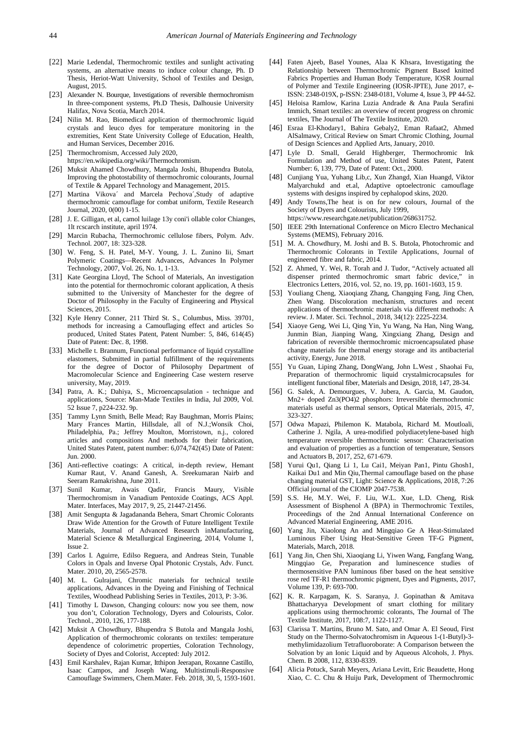- <span id="page-13-11"></span>[22] Marie Ledendal, Thermochromic textiles and sunlight activating systems, an alternative means to induce colour change, Ph. D Thesis, Heriot-Watt University, School of Textiles and Design, August, 2015.
- <span id="page-13-12"></span>[23] Alexander N. Bourque, Investigations of reversible thermochromism In three-component systems, Ph.D Thesis, Dalhousie University Halifax, Nova Scotia, March 2014.
- <span id="page-13-14"></span>[24] Nilin M. Rao, Biomedical application of thermochromic liquid crystals and leuco dyes for temperature monitoring in the extremities, Kent State University College of Education, Health, and Human Services, December 2016.
- <span id="page-13-15"></span>[25] Thermochromism, Accessed July 2020,
- https://en.wikipedia.org/wiki/Thermochromism.
- <span id="page-13-34"></span>[26] Muksit Ahamed Chowdhury, Mangala Joshi, Bhupendra Butola, Improving the photostability of thermochromic colourants, Journal of Textile & Apparel Technology and Management, 2015.
- <span id="page-13-16"></span>[27] Martina Vikova´ and Marcela Pechova´,Study of adaptive thermochromic camouflage for combat uniform, Textile Research Journal, 2020, 0(00) 1-15.
- <span id="page-13-6"></span>[28] J. E. Gilligan, et al, camol luilage 13y coni'i ollable color Chianges, 1lt rcscarch institute, april 1974.
- <span id="page-13-17"></span>[29] Marcin Rubacha, Thermochromic cellulose fibers, Polym. Adv. Technol. 2007, 18: 323-328.
- <span id="page-13-31"></span>[30] W. Feng, S. H. Patel, M-Y. Young, J. L. Zunino Iii, Smart Polymeric Coatings—Recent Advances, Advances In Polymer Technology, 2007, Vol. 26, No. 1, 1-13.
- <span id="page-13-13"></span>[31] Kate Georgina Lloyd, The School of Materials, An investigation into the potential for thermochromic colorant application, A thesis submitted to the University of Manchester for the degree of Doctor of Philosophy in the Faculty of Engineering and Physical Sciences, 2015.
- <span id="page-13-2"></span>[32] Kyle Henry Conner, 211 Third St. S., Columbus, Miss. 39701, methods for increasing a Camouflaging effect and articles So produced, United States Patent, Patent Number: 5, 846, 614(45) Date of Patent: Dec. 8, 1998.
- <span id="page-13-26"></span>[33] Michelle t. Brannum, Functional performance of liquid crystalline elastomers, Submitted in partial fulfillment of the requirements for the degree of Doctor of Philosophy Department of Macromolecular Science and Engineering Case western reserve university, May, 2019.
- <span id="page-13-36"></span>[34] Patra, A. K.; Dahiya, S., Microencapsulation - technique and applications, Source: Man-Made Textiles in India, Jul 2009, Vol. 52 Issue 7, p224-232. 9p.
- <span id="page-13-30"></span>[35] Tammy Lynn Smith, Belle Mead; Ray Baughman, Morris Plains; Mary Frances Martin, Hillsdale, all of N.J.;Wonsik Choi, Philadelphia, Pa.; Jeffrey Moulton, Morristown, n.j., colored articles and compositions And methods for their fabrication, United States Patent, patent number: 6,074,742(45) Date of Patent: Jun. 2000.
- [36] Anti-reflective coatings: A critical, in-depth review, Hemant Kumar Raut, V. Anand Ganesh, A. Sreekumaran Nairb and Seeram Ramakrishna, June 2011.
- <span id="page-13-32"></span>[37] Sunil Kumar, Awais Qadir, Francis Maury, Visible Thermochromism in Vanadium Pentoxide Coatings, ACS Appl. Mater. Interfaces, May 2017, 9, 25, 21447-21456.
- [38] Amit Sengupta & Jagadananda Behera, Smart Chromic Colorants Draw Wide Attention for the Growth of Future Intelligent Textile Materials, Journal of Advanced Research inManufacturing, Material Science & Metallurgical Engineering, 2014, Volume 1, Issue 2.
- <span id="page-13-27"></span>[39] Carlos I. Aguirre, Edilso Reguera, and Andreas Stein, Tunable Colors in Opals and Inverse Opal Photonic Crystals, Adv. Funct. Mater. 2010, 20, 2565-2578.
- <span id="page-13-23"></span>[40] M. L. Gulrajani, Chromic materials for technical textile applications, Advances in the Dyeing and Finishing of Technical Textiles, Woodhead Publishing Series in Textiles, 2013, P: 3-36.
- [41] Timothy L Dawson, Changing colours: now you see them, now you don't, Coloration Technology, Dyers and Colourists, Color. Technol., 2010, 126, 177-188.
- <span id="page-13-29"></span>[42] Muksit A Chowdhury, Bhupendra S Butola and Mangala Joshi, Application of thermochromic colorants on textiles: temperature dependence of colorimetric properties, Coloration Technology, Society of Dyes and Colorist, Accepted: July 2012.
- <span id="page-13-1"></span>[43] Emil Karshalev, Rajan Kumar, Itthipon Jeerapan, Roxanne Castillo, Isaac Campos, and Joseph Wang, Multistimuli-Responsive Camouflage Swimmers, Chem.Mater. Feb. 2018, 30, 5, 1593-1601.
- <span id="page-13-5"></span>[44] Faten Ajeeb, Basel Younes, Alaa K Khsara, Investigating the Relationship between Thermochromic Pigment Based knitted Fabrics Properties and Human Body Temperature, IOSR Journal of Polymer and Textile Engineering (IOSR-JPTE), June 2017, e-ISSN: 2348-019X, p-ISSN: 2348-0181, Volume 4, Issue 3, PP 44-52.
- <span id="page-13-7"></span>[45] Heloisa Ramlow, Karina Luzia Andrade & Ana Paula Serafini Immich, Smart textiles: an overview of recent progress on chromic textiles, The Journal of The Textile Institute, 2020.
- <span id="page-13-8"></span>[46] Esraa El-Khodary1, Bahira Gebaly2, Eman Rafaat2, Ahmed AlSalmawy, Critical Review on Smart Chromic Clothing, Journal of Design Sciences and Applied Arts, January, 2010.
- [47] Lyle D. Small, Gerald Highberger, Thermochromic Ink Formulation and Method of use, United States Patent, Patent Number: 6, 139, 779, Date of Patent: Oct., 2000.
- [48] Cunjiang Yua, Yuhang Lib,c, Xun Zhangd, Xian Huangd, Viktor Malyarchukd and et.al, Adaptive optoelectronic camouflage systems with designs inspired by cephalopod skins, 2020.
- <span id="page-13-0"></span>Andy Towns, The heat is on for new colours, Journal of the Society of Dyers and Colourists, July 1999,
	- https://www.researchgate.net/publication/268631752.
- <span id="page-13-4"></span>[50] IEEE 29th International Conference on Micro Electro Mechanical Systems (MEMS), February 2016.
- <span id="page-13-28"></span>[51] M. A. Chowdhury, M. Joshi and B. S. Butola, Photochromic and Thermochromic Colorants in Textile Applications, Journal of engineered fibre and fabric, 2014.
- <span id="page-13-22"></span>[52] Z. Ahmed, Y. Wei, R. Torah and J. Tudor, "Actively actuated all dispenser printed thermochromic smart fabric device," in Electronics Letters, 2016, vol. 52, no. 19, pp. 1601-1603, 15 9.
- <span id="page-13-9"></span>[53] Youliang Cheng, Xiaoqiang Zhang, Changqing Fang, Jing Chen, Zhen Wang. Discoloration mechanism, structures and recent applications of thermochromic materials via different methods: A review. J. Mater. Sci. Technol., 2018, 34(12): 2225-2234.
- <span id="page-13-10"></span>[54] Xiaoye Geng, Wei Li, Qing Yin, Yu Wang, Na Han, Ning Wang, Junmin Bian, Jianping Wang, Xingxiang Zhang, Design and fabrication of reversible thermochromic microencapsulated phase change materials for thermal energy storage and its antibacterial activity, Energy, June 2018.
- <span id="page-13-25"></span>[55] Yu Guan, Liping Zhang, DongWang, John L.West , Shaohai Fu, Preparation of thermochromic liquid crystalmicrocapsules for intelligent functional fiber, Materials and Design, 2018, 147, 28-34.
- [56] G. Salek, A. Demourgues, V. Jubera, A. Garcia, M. Gaudon, Mn2+ doped Zn3(PO4)2 phosphors: Irreversible thermochromic materials useful as thermal sensors, Optical Materials, 2015, 47, 323-327.
- <span id="page-13-35"></span>[57] Odwa Mapazi, Philemon K. Matabola, Richard M. Moutloali, Catherine J. Ngila, A urea-modified polydiacetylene-based high temperature reversible thermochromic sensor: Characterisation and evaluation of properties as a function of temperature, Sensors and Actuators B, 2017, 252, 671-679.
- <span id="page-13-33"></span>[58] Yurui Qu1, Qiang Li 1, Lu Cai1, Meiyan Pan1, Pintu Ghosh1, Kaikai Du1 and Min Qiu,Thermal camouflage based on the phase changing material GST, Light: Science & Applications, 2018, 7:26 Official journal of the CIOMP 2047-7538.
- <span id="page-13-24"></span>[59] S.S. He, M.Y. Wei, F. Liu, W.L. Xue, L.D. Cheng, Risk Assessment of Bisphenol A (BPA) in Thermochromic Textiles, Proceedings of the 2nd Annual International Conference on Advanced Material Engineering, AME 2016.
- <span id="page-13-18"></span>[60] Yang Jin, Xiaolong An and Mingqiao Ge A Heat-Stimulated Luminous Fiber Using Heat-Sensitive Green TF-G Pigment, Materials, March, 2018.
- <span id="page-13-19"></span>[61] Yang Jin, Chen Shi, Xiaoqiang Li, Yiwen Wang, Fangfang Wang, Mingqiao Ge, Preparation and luminescence studies of thermosensitive PAN luminous fiber based on the heat sensitive rose red TF-R1 thermochromic pigment, Dyes and Pigments, 2017, Volume 139, P: 693-700.
- <span id="page-13-3"></span>[62] K. R. Karpagam, K. S. Saranya, J. Gopinathan & Amitava Bhattacharyya Development of smart clothing for military applications using thermochromic colorants, The Journal of The Textile Institute, 2017, 108:7, 1122-1127.
- <span id="page-13-21"></span>[63] Clarissa T. Martins, Bruno M. Sato, and Omar A. El Seoud, First Study on the Thermo-Solvatochromism in Aqueous 1-(1-Butyl)-3 methylimidazolium Tetrafluoroborate: A Comparison between the Solvation by an Ionic Liquid and by Aqueous Alcohols, J. Phys. Chem. B 2008, 112, 8330-8339.
- <span id="page-13-20"></span>[64] Alicia Potuck, Sarah Meyers, Ariana Levitt, Eric Beaudette, Hong Xiao, C. C. Chu & Huiju Park, Development of Thermochromic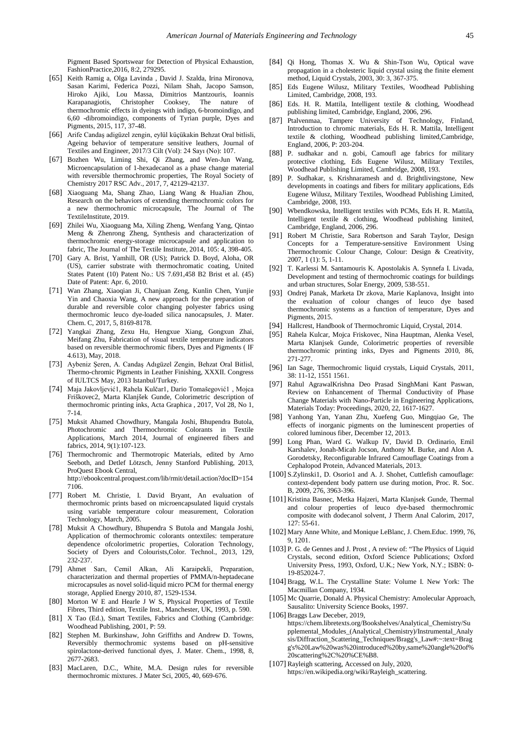Pigment Based Sportswear for Detection of Physical Exhaustion, FashionPractice,2016, 8:2, 279295.

- <span id="page-14-7"></span>[65] Keith Ramig a, Olga Lavinda , David J. Szalda, Irina Mironova, Sasan Karimi, Federica Pozzi, Nilam Shah, Jacopo Samson, Hiroko Ajiki, Lou Massa, Dimitrios Mantzouris, Ioannis Karapanagiotis, Christopher Cooksey, The nature of thermochromic effects in dyeings with indigo, 6-bromoindigo, and 6,60 -dibromoindigo, components of Tyrian purple, Dyes and Pigments, 2015, 117, 37-48.
- <span id="page-14-19"></span>[66] Arife Candaş adigüzel zengin, eylül küçükakin Behzat Oral bitlisli, Ageing behavior of temperature sensitive leathers, Journal of Textiles and Engineer, 2017/3 Cilt (Vol): 24 Sayı (No): 107.
- <span id="page-14-30"></span>[67] Bozhen Wu, Liming Shi, Qi Zhang, and Wen-Jun Wang, Microencapsulation of 1-hexadecanol as a phase change material with reversible thermochromic properties, The Royal Society of Chemistry 2017 RSC Adv., 2017, 7, 42129-42137.
- <span id="page-14-9"></span>[68] Xiaoguang Ma, Shang Zhao, Liang Wang & HuaJian Zhou, Research on the behaviors of extending thermochromic colors for a new thermochromic microcapsule, The Journal of The TextileInstitute, 2019.
- <span id="page-14-34"></span>[69] Zhilei Wu, Xiaoguang Ma, Xiling Zheng, Wenfang Yang, Qintao Meng & Zhenrong Zheng, Synthesis and characterization of thermochromic energy-storage microcapsule and application to fabric, The Journal of The Textile Institute, 2014, 105: 4, 398-405.
- <span id="page-14-10"></span>[70] Gary A. Brist, Yamhill, OR (US); Patrick D. Boyd, Aloha, OR (US), carrier substrate with thermochromatic coating, United States Patent (10) Patent No.: US 7.691,458 B2 Brist et al. (45) Date of Patent: Apr. 6, 2010.
- <span id="page-14-11"></span>[71] Wan Zhang, Xiaoqian Ji, Chanjuan Zeng, Kunlin Chen, Yunjie Yin and Chaoxia Wang, A new approach for the preparation of durable and reversible color changing polyester fabrics using thermochromic leuco dye-loaded silica nanocapsules, J. Mater. Chem. C, 2017, 5, 8169-8178.
- <span id="page-14-12"></span>[72] Yangkai Zhang, Zexu Hu, Hengxue Xiang, Gongxun Zhai, Meifang Zhu, Fabrication of visual textile temperature indicators based on reversible thermochromic fibers, Dyes and Pigments ( IF 4.613), May, 2018.
- <span id="page-14-18"></span>[73] Aybeniz Şeren, A. Candaş Adıgüzel Zengin, Behzat Oral Bitlisl, Thermo-chromic Pigments in Leather Finishing, XXXII. Congress of IULTCS May, 2013 Istanbul/Turkey.
- <span id="page-14-13"></span>[74] Maja Jakovljević1, Rahela Kulčar1, Dario Tomašegović1 , Mojca Friškovec2, Marta Klanjšek Gunde, Colorimetric description of thermochromic printing inks, Acta Graphica , 2017, Vol 28, No 1, 7-14.
- <span id="page-14-14"></span>[75] Muksit Ahamed Chowdhury, Mangala Joshi, Bhupendra Butola, Photochromic and Thermochromic Colorants in Textile Applications, March 2014, Journal of engineered fibers and fabrics, 2014, 9(1):107-123.
- <span id="page-14-22"></span>[76] Thermochromic and Thermotropic Materials, edited by Arno Seeboth, and Detlef Lötzsch, Jenny Stanford Publishing, 2013, ProQuest Ebook Central, http://ebookcentral.proquest.com/lib/rmit/detail.action?docID=154 7106.
- <span id="page-14-23"></span>[77] Robert M. Christie, I. David Bryant, An evaluation of thermochromic prints based on microencapsulated liquid crystals using variable temperature colour measurement, Coloration Technology, March, 2005.
- [78] Muksit A Chowdhury, Bhupendra S Butola and Mangala Joshi, Application of thermochromic colorants ontextiles: temperature dependence ofcolorimetric properties, Coloration Technology, Society of Dyers and Colourists,Color. Technol., 2013, 129, 232-237.
- <span id="page-14-31"></span>[79] Ahmet Sarı, Cemil Alkan, Ali Karaipekli, Preparation, characterization and thermal properties of PMMA/n-heptadecane microcapsules as novel solid-liquid micro PCM for thermal energy storage, Applied Energy 2010, 87, 1529-1534.
- <span id="page-14-4"></span>[80] Morton W E and Hearle J W S, Physical Properties of Textile Fibres, Third edition, Textile Inst., Manchester, UK, 1993, p. 590.
- <span id="page-14-3"></span>[81] X Tao (Ed.), Smart Textiles, Fabrics and Clothing (Cambridge: Woodhead Publishing, 2001, P: 59.
- <span id="page-14-32"></span>[82] Stephen M. Burkinshaw, John Griffiths and Andrew D. Towns, Reversibly thermochromic systems based on pH-sensitive spirolactone-derived functional dyes, J. Mater. Chem., 1998, 8, 2677-2683.
- <span id="page-14-25"></span>[83] MacLaren, D.C., White, M.A. Design rules for reversible thermochromic mixtures. J Mater Sci, 2005, 40, 669-676.
- <span id="page-14-21"></span>[84] Qi Hong, Thomas X. Wu & Shin-Tson Wu, Optical wave propagation in a cholesteric liquid crystal using the finite element method, Liquid Crystals, 2003, 30: 3, 367-375.
- <span id="page-14-0"></span>[85] Eds Eugene Wilusz, Military Textiles, Woodhead Publishing Limited, Cambridge, 2008, 193.
- <span id="page-14-6"></span>[86] Eds. H. R. Mattila, Intelligent textile & clothing, Woodhead publishing limited, Cambridge, England, 2006, 296.
- <span id="page-14-2"></span>[87] Ptalvenmaa, Tampere University of Technology, Finland, Introduction to chromic materials, Eds H. R. Mattila, Intelligent textile & clothing, Woodhead publishing limited,Cambridge, England, 2006, P: 203-204.
- <span id="page-14-1"></span>[88] P. sudhakar and n. gobi, Camoufl age fabrics for military protective clothing, Eds Eugene Wilusz, Military Textiles, Woodhead Publishing Limited, Cambridge, 2008, 193.
- [89] P. Sudhakar, s. Krishnaramesh and d. Brightlivingstone, New developments in coatings and fibers for military applications, Eds Eugene Wilusz, Military Textiles, Woodhead Publishing Limited, Cambridge, 2008, 193.
- <span id="page-14-33"></span>[90] Wbendkowska, Intelligent textiles with PCMs, Eds H. R. Mattila, Intelligent textile & clothing, Woodhead publishing limited, Cambridge, England, 2006, 296.
- <span id="page-14-24"></span>[91] Robert M Christie, Sara Robertson and Sarah Taylor, Design Concepts for a Temperature-sensitive Environment Using Thermochromic Colour Change, Colour: Design & Creativity, 2007, 1 (1): 5, 1-11.
- [92] T. Karlessi M. Santamouris K. Apostolakis A. Synnefa I. Livada, Development and testing of thermochromic coatings for buildings and urban structures, Solar Energy, 2009, 538-551.
- <span id="page-14-26"></span>[93] Ondrej Panak, Marketa Dr zkova, Marie Kaplanova, Insight into the evaluation of colour changes of leuco dye based thermochromic systems as a function of temperature, Dyes and Pigments, 2015.
- <span id="page-14-5"></span>[94] Hallcrest, Handbook of Thermochromic Liquid, Crystal, 2014.
- <span id="page-14-8"></span>[95] Rahela Kulcar, Mojca Friskovec, Nina Hauptman, Alenka Vesel, Marta Klanjsek Gunde, Colorimetric properties of reversible thermochromic printing inks, Dyes and Pigments 2010, 86, 271-277.
- <span id="page-14-20"></span>[96] Ian Sage, Thermochromic liquid crystals, Liquid Crystals, 2011, 38: 11-12, 1551 1561.
- <span id="page-14-29"></span>[97] Rahul AgrawalKrishna Deo Prasad SinghMani Kant Paswan, Review on Enhancement of Thermal Conductivity of Phase Change Materials with Nano-Particle in Engineering Applications, Materials Today: Proceedings, 2020, 22, 1617-1627.
- <span id="page-14-27"></span>[98] Yanhong Yan, Yanan Zhu, Xuefeng Guo, Mingqiao Ge, The effects of inorganic pigments on the luminescent properties of colored luminous fiber, December 12, 2013.
- <span id="page-14-28"></span>[99] Long Phan, Ward G. Walkup IV, David D. Ordinario, Emil Karshalev, Jonah-Micah Jocson, Anthony M. Burke, and Alon A. Gorodetsky, Reconfigurable Infrared Camouflage Coatings from a Cephalopod Protein, Advanced Materials, 2013.
- [100] S.Zylinski1, D. Osorio1 and A. J. Shohet, Cuttlefish camouflage: context-dependent body pattern use during motion, Proc. R. Soc. B, 2009, 276, 3963-396.
- <span id="page-14-15"></span>[101] Kristina Basnec, Metka Hajzeri, Marta Klanjsek Gunde, Thermal and colour properties of leuco dye-based thermochromic composite with dodecanol solvent, J Therm Anal Calorim, 2017, 127: 55-61.
- <span id="page-14-17"></span>[102] Mary Anne White, and Monique LeBlanc, J. Chem.Educ. 1999, 76, 9, 1201.
- <span id="page-14-16"></span>[103] P. G. de Gennes and J. Prost, A review of: "The Physics of Liquid Crystals, second edition, Oxford Science Publications; Oxford University Press, 1993, Oxford, U.K.; New York, N.Y.; ISBN: 0- 19-852024-7.
- <span id="page-14-35"></span>[104] Bragg, W.L. The Crystalline State: Volume I. New York: The Macmillan Company, 1934.
- [105] Mc Quarrie, Donald A. Physical Chemistry: Amolecular Approach, Sausalito: University Science Books, 1997.
- [106] Braggs Law Deceber, 2019, https://chem.libretexts.org/Bookshelves/Analytical\_Chemistry/Su pplemental\_Modules\_(Analytical\_Chemistry)/Instrumental\_Analy sis/Diffraction\_Scattering\_Techniques/Bragg's\_Law#:~:text=Brag g's%20Law%20was%20introduced%20by,same%20angle%20of% 20scattering%2C%20%CE%B8.
- [107] Rayleigh scattering, Accessed on July, 2020, https://en.wikipedia.org/wiki/Rayleigh\_scattering.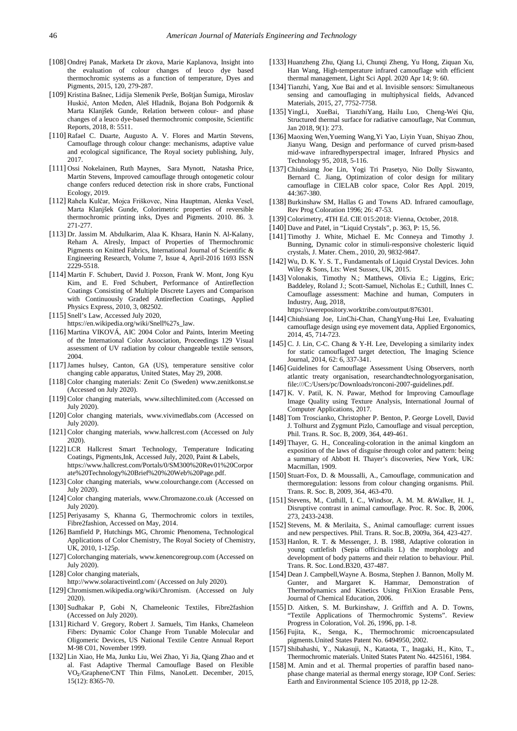- <span id="page-15-6"></span>[108] Ondrej Panak, Marketa Dr zkova, Marie Kaplanova, Insight into the evaluation of colour changes of leuco dye based thermochromic systems as a function of temperature, Dyes and Pigments, 2015, 120, 279-287.
- <span id="page-15-20"></span>[109] Kristina Bašnec, Lidija Slemenik Perše, Boštjan Šumiga, Miroslav Huskić, Anton Meden, Aleš Hladnik, Bojana Boh Podgornik & Marta Klanjšek Gunde, Relation between colour- and phase changes of a leuco dye-based thermochromic composite, Scientific Reports, 2018, 8: 5511.
- [110] Rafael C. Duarte, Augusto A. V. Flores and Martin Stevens, Camouflage through colour change: mechanisms, adaptive value and ecological significance, The Royal society publishing, July, 2017.
- <span id="page-15-2"></span>[111] Ossi Nokelainen, Ruth Maynes, Sara Mynott, Natasha Price, Martin Stevens, Improved camouflage through ontogenetic colour change confers reduced detection risk in shore crabs, Functional Ecology, 2019.
- <span id="page-15-15"></span>[112] Rahela Kulčar, Mojca Friškovec, Nina Hauptman, Alenka Vesel, Marta Klanjšek Gunde, Colorimetric properties of reversible thermochromic printing inks, Dyes and Pigments. 2010. 86. 3. 271-277.
- <span id="page-15-10"></span>[113] Dr. Jassim M. Abdulkarim, Alaa K. Khsara, Hanin N. Al-Kalany, Reham A. Alresly, Impact of Properties of Thermochromic Pigments on Knitted Fabrics, International Journal of Scientific & Engineering Research, Volume 7, Issue 4, April-2016 1693 ISSN 2229-5518.
- <span id="page-15-17"></span>[114] Martin F. Schubert, David J. Poxson, Frank W. Mont, Jong Kyu Kim, and E. Fred Schubert, Performance of Antireflection Coatings Consisting of Multiple Discrete Layers and Comparison with Continuously Graded Antireflection Coatings, Applied Physics Express, 2010, 3, 082502.
- <span id="page-15-39"></span>[115] Snell's Law, Accessed July 2020,
- https://en.wikipedia.org/wiki/Snell%27s\_law.
- <span id="page-15-21"></span>[116] Martina VIKOVÁ, AIC 2004 Color and Paints, Interim Meeting of the International Color Association, Proceedings 129 Visual assessment of UV radiation by colour changeable textile sensors, 2004.
- <span id="page-15-18"></span>[117] James hulsey, Canton, GA (US), temperature sensitive color changing cable apparatus, United States, May 29, 2008.
- [118] Color changing materials: Zenit Co (Sweden) www.zenitkonst.se (Accessed on July 2020).
- [119] Color changing materials, www.siltechlimited.com (Accessed on July 2020).
- [120] Color changing materials, www.vivimedlabs.com (Accessed on July 2020).
- [121] Color changing materials, www.hallcrest.com (Accessed on July 2020).
- <span id="page-15-27"></span>[122] LCR Hallcrest Smart Technology, Temperature Indicating Coatings, Pigments,Ink, Accessed July, 2020, Paint & Labels, https://www.hallcrest.com/Portals/0/SM300%20Rev01%20Corpor ate%20Technology%20Brief%20%20Web%20Page.pdf.
- [123] Color changing materials, www.colourchange.com (Accessed on July 2020).
- [124] Color changing materials, www.Chromazone.co.uk (Accessed on July 2020).
- <span id="page-15-38"></span>[125] Periyasamy S, Khanna G, Thermochromic colors in textiles, Fibre2fashion, Accessed on May, 2014.
- <span id="page-15-19"></span>[126] Bamfield P, Hutchings MG, Chromic Phenomena, Technological Applications of Color Chemistry, The Royal Society of Chemistry, UK, 2010, 1-125p.
- [127] Colorchanging materials, www.kenencoregroup.com (Accessed on July 2020).
- [128] Color changing materials,
- http://www.solaractiveintl.com/ (Accessed on July 2020).
- <span id="page-15-12"></span>[129] Chromismen.wikipedia.org/wiki/Chromism. (Accessed on July 2020).
- <span id="page-15-7"></span>[130] Sudhakar P, Gobi N, Chameleonic Textiles, Fibre2fashion (Accessed on July 2020).
- [131] Richard V. Gregory, Robert J. Samuels, Tim Hanks, Chameleon Fibers: Dynamic Color Change From Tunable Molecular and Oligomeric Devices, US National Textile Centre Annual Report M-98 C01, November 1999.
- <span id="page-15-24"></span>[132] Lin Xiao, He Ma, Junku Liu, Wei Zhao, Yi Jia, Qiang Zhao and et al. Fast Adaptive Thermal Camouflage Based on Flexible VO₂/Graphene/CNT Thin Films, NanoLett. December, 2015, 15(12): 8365-70.
- <span id="page-15-25"></span>[133] Huanzheng Zhu, Qiang Li, Chunqi Zheng, Yu Hong, Ziquan Xu, Han Wang, High-temperature infrared camouflage with efficient thermal management, Light Sci Appl. 2020 Apr 14; 9: 60.
- <span id="page-15-8"></span>[134] Tianzhi, Yang, Xue Bai and et al. Invisible sensors: Simultaneous sensing and camouflaging in multiphysical fields, Advanced Materials, 2015, 27, 7752-7758.
- <span id="page-15-9"></span>[135] YingLi, XueBai, TianzhiYang, Hailu Luo, Cheng-Wei Qiu, Structured thermal surface for radiative camouflage, Nat Commun, Jan 2018, 9(1): 273.
- <span id="page-15-29"></span>[136] Maoxing Wen,Yueming Wang,Yi Yao, Liyin Yuan, Shiyao Zhou, Jianyu Wang, Design and performance of curved prism-based mid-wave infraredhyperspectral imager, Infrared Physics and Technology 95, 2018, 5-116.
- <span id="page-15-32"></span>[137] Chiuhsiang Joe Lin, Yogi Tri Prasetyo, Nio Dolly Siswanto, Bernard C. Jiang, Optimization of color design for military camouflage in CIELAB color space, Color Res Appl. 2019, 44:367-380.
- <span id="page-15-36"></span>[138] Burkinshaw SM, Hallas G and Towns AD. Infrared camouflage, Rev Prog Coloration 1996; 26: 47-53.
- <span id="page-15-34"></span>[139] Colorimetry, 4TH Ed. CIE 015:2018: Vienna, October, 2018.
- <span id="page-15-22"></span>[140] Dave and Patel, in "Liquid Crystals", p. 363, P: 15, 56.
- <span id="page-15-23"></span>[141] Timothy J. White, Michael E. Mc Conneya and Timothy J. Bunning, Dynamic color in stimuli-responsive cholesteric liquid crystals, J. Mater. Chem., 2010, 20, 9832-9847.
- <span id="page-15-37"></span>[142] Wu, D. K. Y. S. T., Fundamentals of Liquid Crystal Devices. John Wiley & Sons, Lts: West Sussex, UK, 2015.
- <span id="page-15-30"></span>[143] Volonakis, Timothy N.; Matthews, Olivia E.; Liggins, Eric; Baddeley, Roland J.; Scott-Samuel, Nicholas E.; Cuthill, Innes C. Camouflage assessment: Machine and human, Computers in Industry, Aug, 2018,

https://uwerepository.worktribe.com/output/876301.

- <span id="page-15-35"></span>[144] Chiuhsiang Joe, LinChi-Chan, ChangYung-Hui Lee, Evaluating camouflage design using eye movement data, Applied Ergonomics, 2014, 45, 714-723.
- <span id="page-15-28"></span>[145] C. J. Lin, C-C. Chang & Y-H. Lee, Developing a similarity index for static camouflaged target detection, The Imaging Science Journal, 2014, 62: 6, 337-341.
- <span id="page-15-31"></span>[146] Guidelines for Camouflage Assessment Using Observers, north atlantic treaty organisation, researchandtechnologyorganisation, file:///C:/Users/pc/Downloads/ronconi-2007-guidelines.pdf.
- [147] K. V. Patil, K. N. Pawar, Method for Improving Camouflage Image Quality using Texture Analysis, International Journal of Computer Applications, 2017.
- <span id="page-15-33"></span>[148] Tom Troscianko, Christopher P. Benton, P. George Lovell, David J. Tolhurst and Zygmunt Pizlo, Camouflage and visual perception, Phil. Trans. R. Soc. B, 2009, 364, 449-461.
- <span id="page-15-3"></span>[149] Thayer, G. H., Concealing-coloration in the animal kingdom an exposition of the laws of disguise through color and pattern: being a summary of Abbott H. Thayer's discoveries, New York, UK: Macmillan, 1909.
- <span id="page-15-5"></span>[150] Stuart-Fox, D. & Moussalli, A., Camouflage, communication and thermoregulation: lessons from colour changing organisms. Phil. Trans. R. Soc. B, 2009, 364, 463-470.
- <span id="page-15-4"></span>[151] Stevens, M., Cuthill, I. C., Windsor, A. M. M. &Walker, H. J., Disruptive contrast in animal camouflage. Proc. R. Soc. B, 2006, 273, 2433-2438.
- <span id="page-15-0"></span>[152] Stevens, M. & Merilaita, S., Animal camouflage: current issues and new perspectives. Phil. Trans. R. Soc.B, 2009a, 364, 423-427.
- <span id="page-15-1"></span>[153] Hanlon, R. T. & Messenger, J. B. 1988, Adaptive coloration in young cuttlefish (Sepia officinalis L) the morphology and development of body patterns and their relation to behaviour. Phil. Trans. R. Soc. Lond.B320, 437-487.
- <span id="page-15-16"></span>[154] Dean J. Campbell,Wayne A. Bosma, Stephen J. Bannon, Molly M. Gunter, and Margaret K. Hammar, Demonstration of Thermodynamics and Kinetics Using FriXion Erasable Pens, Journal of Chemical Education, 2006.
- <span id="page-15-11"></span>[155] D. Aitken, S. M. Burkinshaw, J. Griffith and A. D. Towns, "Textile Applications of Thermochromic Systems". Review Progress in Coloration, Vol. 26, 1996, pp. 1-8.
- <span id="page-15-13"></span>[156] Fujita, K., Senga, K., Thermochromic microencapsulated pigments.United States Patent No. 6494950, 2002.
- <span id="page-15-14"></span>[157] Shibahashi, Y., Nakasuji, N., Kataota, T., Inagaki, H., Kito, T., Thermochromic materials. United States Patent No. 4425161, 1984.
- <span id="page-15-26"></span>[158] M. Amin and et al. Thermal properties of paraffin based nanophase change material as thermal energy storage, IOP Conf. Series: Earth and Environmental Science 105 2018, pp 12-28.